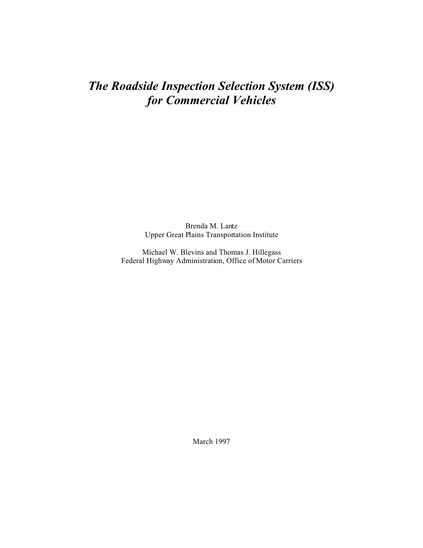## *The Roadside Inspection Selection System (ISS) for Commercial Vehicles*

Brenda M. Lantz Upper Great Plains Transportation Institute

Michael W. Blevins and Thomas J. Hillegass Federal Highway Administration, Office of Motor Carriers

March 1997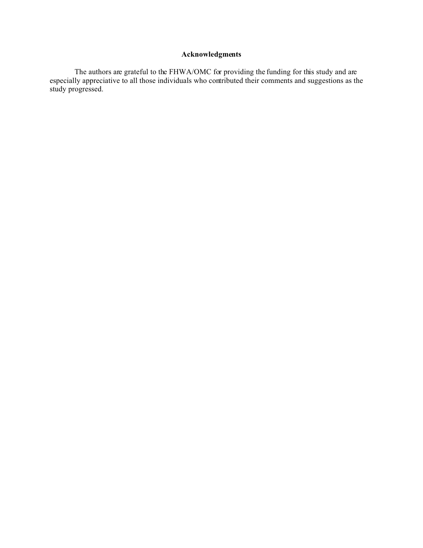### **Acknowledgments**

The authors are grateful to the FHWA/OMC for providing the funding for this study and are especially appreciative to all those individuals who contributed their comments and suggestions as the study progressed.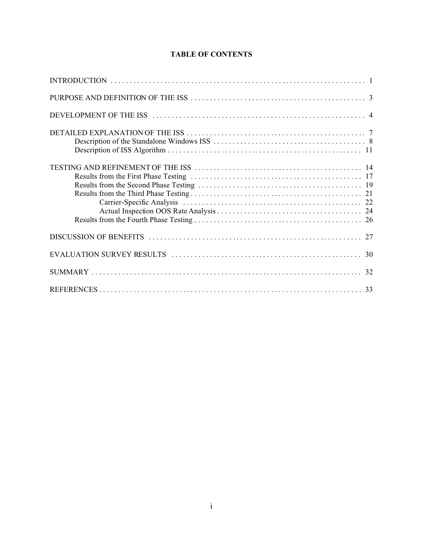### **TABLE OF CONTENTS**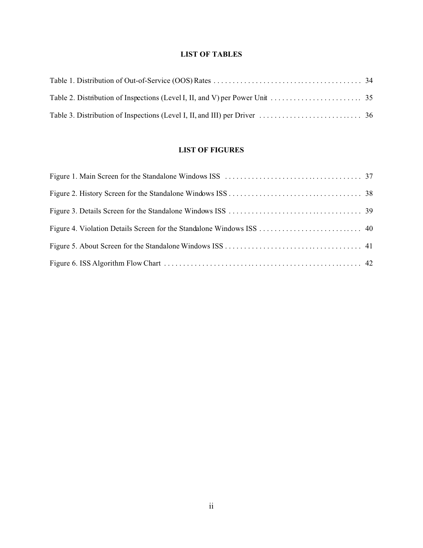### **LIST OF TABLES**

### **LIST OF FIGURES**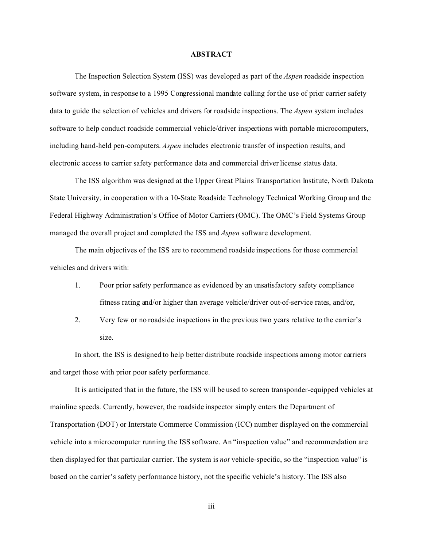#### **ABSTRACT**

The Inspection Selection System (ISS) was developed as part of the *Aspen* roadside inspection software system, in response to a 1995 Congressional mandate calling for the use of prior carrier safety data to guide the selection of vehicles and drivers for roadside inspections. The *Aspen* system includes software to help conduct roadside commercial vehicle/driver inspections with portable microcomputers, including hand-held pen-computers. *Aspen* includes electronic transfer of inspection results, and electronic access to carrier safety performance data and commercial driver license status data.

The ISS algorithm was designed at the Upper Great Plains Transportation Institute, North Dakota State University, in cooperation with a 10-State Roadside Technology Technical Working Group and the Federal Highway Administration's Office of Motor Carriers (OMC). The OMC's Field Systems Group managed the overall project and completed the ISS and *Aspen* software development.

The main objectives of the ISS are to recommend roadside inspections for those commercial vehicles and drivers with:

- 1. Poor prior safety performance as evidenced by an unsatisfactory safety compliance fitness rating and/or higher than average vehicle/driver out-of-service rates, and/or,
- 2. Very few or no roadside inspections in the previous two years relative to the carrier's size.

In short, the ISS is designed to help better distribute roadside inspections among motor carriers and target those with prior poor safety performance.

It is anticipated that in the future, the ISS will be used to screen transponder-equipped vehicles at mainline speeds. Currently, however, the roadside inspector simply enters the Department of Transportation (DOT) or Interstate Commerce Commission (ICC) number displayed on the commercial vehicle into a microcomputer running the ISS software. An "inspection value" and recommendation are then displayed for that particular carrier. The system is *not* vehicle-specific, so the "inspection value" is based on the carrier's safety performance history, not the specific vehicle's history. The ISS also

iii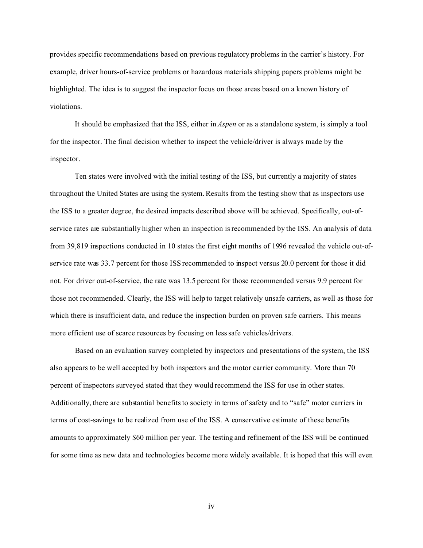provides specific recommendations based on previous regulatory problems in the carrier's history. For example, driver hours-of-service problems or hazardous materials shipping papers problems might be highlighted. The idea is to suggest the inspector focus on those areas based on a known history of violations.

It should be emphasized that the ISS, either in *Aspen* or as a standalone system, is simply a tool for the inspector. The final decision whether to inspect the vehicle/driver is always made by the inspector.

Ten states were involved with the initial testing of the ISS, but currently a majority of states throughout the United States are using the system. Results from the testing show that as inspectors use the ISS to a greater degree, the desired impacts described above will be achieved. Specifically, out-ofservice rates are substantially higher when an inspection is recommended by the ISS. An analysis of data from 39,819 inspections conducted in 10 states the first eight months of 1996 revealed the vehicle out-ofservice rate was 33.7 percent for those ISS recommended to inspect versus 20.0 percent for those it did not. For driver out-of-service, the rate was 13.5 percent for those recommended versus 9.9 percent for those not recommended. Clearly, the ISS will help to target relatively unsafe carriers, as well as those for which there is insufficient data, and reduce the inspection burden on proven safe carriers. This means more efficient use of scarce resources by focusing on less safe vehicles/drivers.

Based on an evaluation survey completed by inspectors and presentations of the system, the ISS also appears to be well accepted by both inspectors and the motor carrier community. More than 70 percent of inspectors surveyed stated that they would recommend the ISS for use in other states. Additionally, there are substantial benefits to society in terms of safety and to "safe" motor carriers in terms of cost-savings to be realized from use of the ISS. A conservative estimate of these benefits amounts to approximately \$60 million per year. The testing and refinement of the ISS will be continued for some time as new data and technologies become more widely available. It is hoped that this will even

iv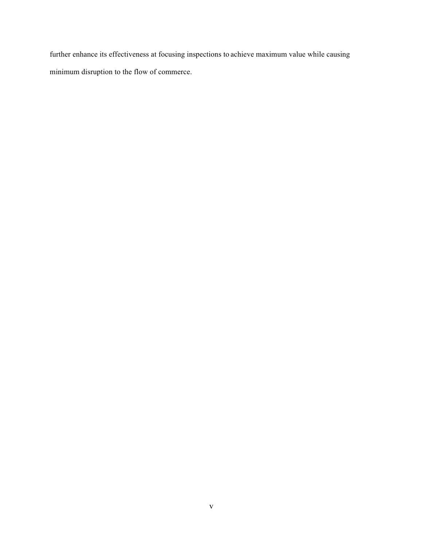further enhance its effectiveness at focusing inspections to achieve maximum value while causing minimum disruption to the flow of commerce.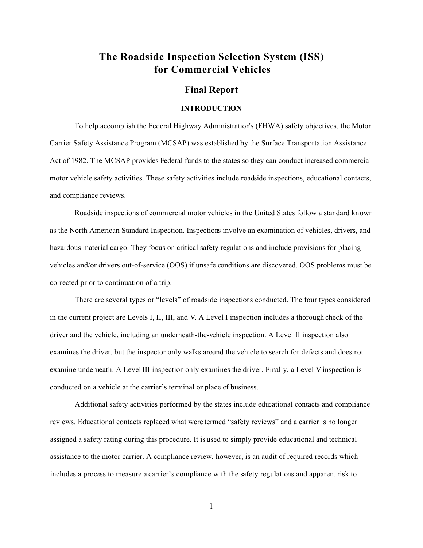## **The Roadside Inspection Selection System (ISS) for Commercial Vehicles**

#### **Final Report**

#### **INTRODUCTION**

To help accomplish the Federal Highway Administration's (FHWA) safety objectives, the Motor Carrier Safety Assistance Program (MCSAP) was established by the Surface Transportation Assistance Act of 1982. The MCSAP provides Federal funds to the states so they can conduct increased commercial motor vehicle safety activities. These safety activities include roadside inspections, educational contacts, and compliance reviews.

Roadside inspections of commercial motor vehicles in the United States follow a standard known as the North American Standard Inspection. Inspections involve an examination of vehicles, drivers, and hazardous material cargo. They focus on critical safety regulations and include provisions for placing vehicles and/or drivers out-of-service (OOS) if unsafe conditions are discovered. OOS problems must be corrected prior to continuation of a trip.

There are several types or "levels" of roadside inspections conducted. The four types considered in the current project are Levels I, II, III, and V. A Level I inspection includes a thorough check of the driver and the vehicle, including an underneath-the-vehicle inspection. A Level II inspection also examines the driver, but the inspector only walks around the vehicle to search for defects and does not examine underneath. A Level III inspection only examines the driver. Finally, a Level V inspection is conducted on a vehicle at the carrier's terminal or place of business.

Additional safety activities performed by the states include educational contacts and compliance reviews. Educational contacts replaced what were termed "safety reviews" and a carrier is no longer assigned a safety rating during this procedure. It is used to simply provide educational and technical assistance to the motor carrier. A compliance review, however, is an audit of required records which includes a process to measure a carrier's compliance with the safety regulations and apparent risk to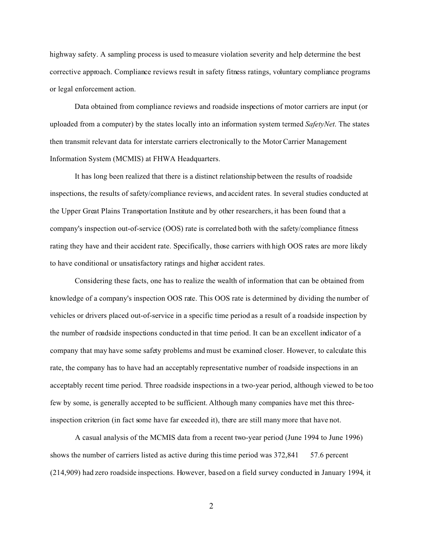highway safety. A sampling process is used to measure violation severity and help determine the best corrective approach. Compliance reviews result in safety fitness ratings, voluntary compliance programs or legal enforcement action.

Data obtained from compliance reviews and roadside inspections of motor carriers are input (or uploaded from a computer) by the states locally into an information system termed *SafetyNet*. The states then transmit relevant data for interstate carriers electronically to the Motor Carrier Management Information System (MCMIS) at FHWA Headquarters.

It has long been realized that there is a distinct relationship between the results of roadside inspections, the results of safety/compliance reviews, and accident rates. In several studies conducted at the Upper Great Plains Transportation Institute and by other researchers, it has been found that a company's inspection out-of-service (OOS) rate is correlated both with the safety/compliance fitness rating they have and their accident rate. Specifically, those carriers with high OOS rates are more likely to have conditional or unsatisfactory ratings and higher accident rates.

Considering these facts, one has to realize the wealth of information that can be obtained from knowledge of a company's inspection OOS rate. This OOS rate is determined by dividing the number of vehicles or drivers placed out-of-service in a specific time period as a result of a roadside inspection by the number of roadside inspections conducted in that time period. It can be an excellent indicator of a company that may have some safety problems and must be examined closer. However, to calculate this rate, the company has to have had an acceptably representative number of roadside inspections in an acceptably recent time period. Three roadside inspections in a two-year period, although viewed to be too few by some, is generally accepted to be sufficient. Although many companies have met this threeinspection criterion (in fact some have far exceeded it), there are still many more that have not.

A casual analysis of the MCMIS data from a recent two-year period (June 1994 to June 1996) shows the number of carriers listed as active during this time period was 372,841 57.6 percent (214,909) had zero roadside inspections. However, based on a field survey conducted in January 1994, it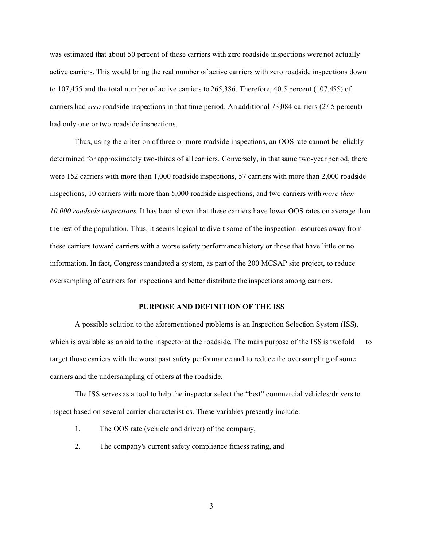was estimated that about 50 percent of these carriers with zero roadside inspections were not actually active carriers. This would bring the real number of active carriers with zero roadside inspections down to 107,455 and the total number of active carriers to 265,386. Therefore, 40.5 percent (107,455) of carriers had *zero* roadside inspections in that time period. An additional 73,084 carriers (27.5 percent) had only one or two roadside inspections.

Thus, using the criterion of three or more roadside inspections, an OOS rate cannot be reliably determined for approximately two-thirds of all carriers. Conversely, in that same two-year period, there were 152 carriers with more than 1,000 roadside inspections, 57 carriers with more than 2,000 roadside inspections, 10 carriers with more than 5,000 roadside inspections, and two carriers with *more than 10,000 roadside inspections*. It has been shown that these carriers have lower OOS rates on average than the rest of the population. Thus, it seems logical to divert some of the inspection resources away from these carriers toward carriers with a worse safety performance history or those that have little or no information. In fact, Congress mandated a system, as part of the 200 MCSAP site project, to reduce oversampling of carriers for inspections and better distribute the inspections among carriers.

#### **PURPOSE AND DEFINITION OF THE ISS**

A possible solution to the aforementioned problems is an Inspection Selection System (ISS), which is available as an aid to the inspector at the roadside. The main purpose of the ISS is twofold to target those carriers with the worst past safety performance and to reduce the oversampling of some carriers and the undersampling of others at the roadside.

The ISS serves as a tool to help the inspector select the "best" commercial vehicles/drivers to inspect based on several carrier characteristics. These variables presently include:

- 1. The OOS rate (vehicle and driver) of the company,
- 2. The company's current safety compliance fitness rating, and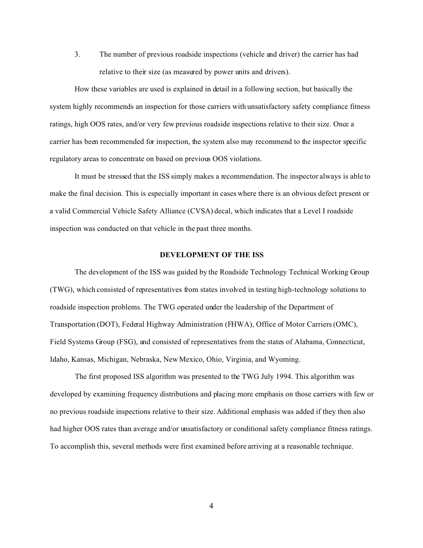3. The number of previous roadside inspections (vehicle and driver) the carrier has had relative to their size (as measured by power units and drivers).

How these variables are used is explained in detail in a following section, but basically the system highly recommends an inspection for those carriers with unsatisfactory safety compliance fitness ratings, high OOS rates, and/or very few previous roadside inspections relative to their size. Once a carrier has been recommended for inspection, the system also may recommend to the inspector specific regulatory areas to concentrate on based on previous OOS violations.

It must be stressed that the ISS simply makes a recommendation. The inspector always is able to make the final decision. This is especially important in cases where there is an obvious defect present or a valid Commercial Vehicle Safety Alliance (CVSA) decal, which indicates that a Level I roadside inspection was conducted on that vehicle in the past three months.

#### **DEVELOPMENT OF THE ISS**

The development of the ISS was guided by the Roadside Technology Technical Working Group (TWG), which consisted of representatives from states involved in testing high-technology solutions to roadside inspection problems. The TWG operated under the leadership of the Department of Transportation (DOT), Federal Highway Administration (FHWA), Office of Motor Carriers (OMC), Field Systems Group (FSG), and consisted of representatives from the states of Alabama, Connecticut, Idaho, Kansas, Michigan, Nebraska, New Mexico, Ohio, Virginia, and Wyoming.

The first proposed ISS algorithm was presented to the TWG July 1994. This algorithm was developed by examining frequency distributions and placing more emphasis on those carriers with few or no previous roadside inspections relative to their size. Additional emphasis was added if they then also had higher OOS rates than average and/or unsatisfactory or conditional safety compliance fitness ratings. To accomplish this, several methods were first examined before arriving at a reasonable technique.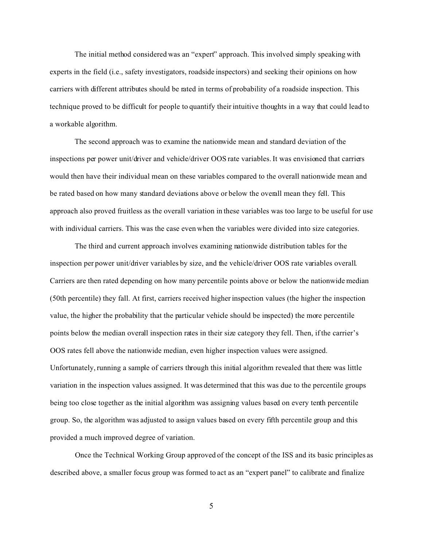The initial method considered was an "expert" approach. This involved simply speaking with experts in the field (i.e., safety investigators, roadside inspectors) and seeking their opinions on how carriers with different attributes should be rated in terms of probability of a roadside inspection. This technique proved to be difficult for people to quantify their intuitive thoughts in a way that could lead to a workable algorithm.

The second approach was to examine the nationwide mean and standard deviation of the inspections per power unit/driver and vehicle/driver OOS rate variables. It was envisioned that carriers would then have their individual mean on these variables compared to the overall nationwide mean and be rated based on how many standard deviations above or below the overall mean they fell. This approach also proved fruitless as the overall variation in these variables was too large to be useful for use with individual carriers. This was the case even when the variables were divided into size categories.

The third and current approach involves examining nationwide distribution tables for the inspection per power unit/driver variables by size, and the vehicle/driver OOS rate variables overall. Carriers are then rated depending on how many percentile points above or below the nationwide median (50th percentile) they fall. At first, carriers received higher inspection values (the higher the inspection value, the higher the probability that the particular vehicle should be inspected) the more percentile points below the median overall inspection rates in their size category they fell. Then, if the carrier's OOS rates fell above the nationwide median, even higher inspection values were assigned. Unfortunately, running a sample of carriers through this initial algorithm revealed that there was little variation in the inspection values assigned. It was determined that this was due to the percentile groups being too close together as the initial algorithm was assigning values based on every tenth percentile group. So, the algorithm was adjusted to assign values based on every fifth percentile group and this provided a much improved degree of variation.

Once the Technical Working Group approved of the concept of the ISS and its basic principles as described above, a smaller focus group was formed to act as an "expert panel" to calibrate and finalize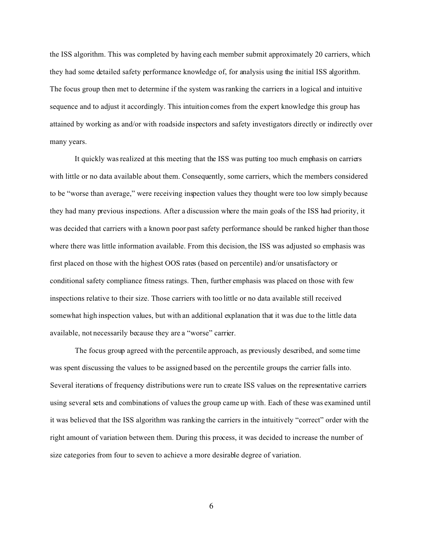the ISS algorithm. This was completed by having each member submit approximately 20 carriers, which they had some detailed safety performance knowledge of, for analysis using the initial ISS algorithm. The focus group then met to determine if the system was ranking the carriers in a logical and intuitive sequence and to adjust it accordingly. This intuition comes from the expert knowledge this group has attained by working as and/or with roadside inspectors and safety investigators directly or indirectly over many years.

It quickly was realized at this meeting that the ISS was putting too much emphasis on carriers with little or no data available about them. Consequently, some carriers, which the members considered to be "worse than average," were receiving inspection values they thought were too low simply because they had many previous inspections. After a discussion where the main goals of the ISS had priority, it was decided that carriers with a known poor past safety performance should be ranked higher than those where there was little information available. From this decision, the ISS was adjusted so emphasis was first placed on those with the highest OOS rates (based on percentile) and/or unsatisfactory or conditional safety compliance fitness ratings. Then, further emphasis was placed on those with few inspections relative to their size. Those carriers with too little or no data available still received somewhat high inspection values, but with an additional explanation that it was due to the little data available, not necessarily because they are a "worse" carrier.

The focus group agreed with the percentile approach, as previously described, and some time was spent discussing the values to be assigned based on the percentile groups the carrier falls into. Several iterations of frequency distributions were run to create ISS values on the representative carriers using several sets and combinations of values the group came up with. Each of these was examined until it was believed that the ISS algorithm was ranking the carriers in the intuitively "correct" order with the right amount of variation between them. During this process, it was decided to increase the number of size categories from four to seven to achieve a more desirable degree of variation.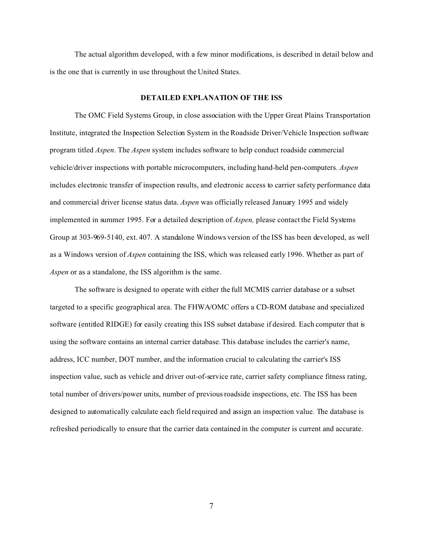The actual algorithm developed, with a few minor modifications, is described in detail below and is the one that is currently in use throughout the United States.

#### **DETAILED EXPLANATION OF THE ISS**

The OMC Field Systems Group, in close association with the Upper Great Plains Transportation Institute, integrated the Inspection Selection System in the Roadside Driver/Vehicle Inspection software program titled *Aspen*. The *Aspen* system includes software to help conduct roadside commercial vehicle/driver inspections with portable microcomputers, including hand-held pen-computers. *Aspen* includes electronic transfer of inspection results, and electronic access to carrier safety performance data and commercial driver license status data. *Aspen* was officially released January 1995 and widely implemented in summer 1995. For a detailed description of *Aspen,* please contact the Field Systems Group at 303-969-5140, ext. 407. A standalone Windows version of the ISS has been developed, as well as a Windows version of *Aspen* containing the ISS, which was released early 1996. Whether as part of *Aspen* or as a standalone, the ISS algorithm is the same.

The software is designed to operate with either the full MCMIS carrier database or a subset targeted to a specific geographical area. The FHWA/OMC offers a CD-ROM database and specialized software (entitled RIDGE) for easily creating this ISS subset database if desired. Each computer that is using the software contains an internal carrier database. This database includes the carrier's name, address, ICC number, DOT number, and the information crucial to calculating the carrier's ISS inspection value, such as vehicle and driver out-of-service rate, carrier safety compliance fitness rating, total number of drivers/power units, number of previous roadside inspections, etc. The ISS has been designed to automatically calculate each field required and assign an inspection value. The database is refreshed periodically to ensure that the carrier data contained in the computer is current and accurate.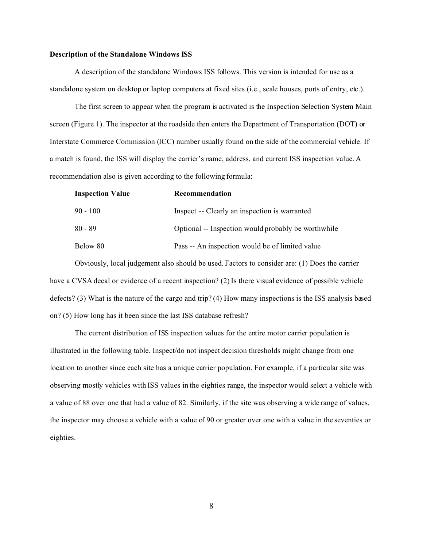#### **Description of the Standalone Windows ISS**

A description of the standalone Windows ISS follows. This version is intended for use as a standalone system on desktop or laptop computers at fixed sites (i.e., scale houses, ports of entry, etc.).

The first screen to appear when the program is activated is the Inspection Selection System Main screen (Figure 1). The inspector at the roadside then enters the Department of Transportation (DOT) or Interstate Commerce Commission (ICC) number usually found on the side of the commercial vehicle. If a match is found, the ISS will display the carrier's name, address, and current ISS inspection value. A recommendation also is given according to the following formula:

| <b>Inspection Value</b> | Recommendation                                      |
|-------------------------|-----------------------------------------------------|
| $90 - 100$              | Inspect -- Clearly an inspection is warranted       |
| 80 - 89                 | Optional -- Inspection would probably be worthwhile |
| Below 80                | Pass -- An inspection would be of limited value     |

Obviously, local judgement also should be used. Factors to consider are: (1) Does the carrier have a CVSA decal or evidence of a recent inspection? (2) Is there visual evidence of possible vehicle defects? (3) What is the nature of the cargo and trip? (4) How many inspections is the ISS analysis based on? (5) How long has it been since the last ISS database refresh?

The current distribution of ISS inspection values for the entire motor carrier population is illustrated in the following table. Inspect/do not inspect decision thresholds might change from one location to another since each site has a unique carrier population. For example, if a particular site was observing mostly vehicles with ISS values in the eighties range, the inspector would select a vehicle with a value of 88 over one that had a value of 82. Similarly, if the site was observing a wide range of values, the inspector may choose a vehicle with a value of 90 or greater over one with a value in the seventies or eighties.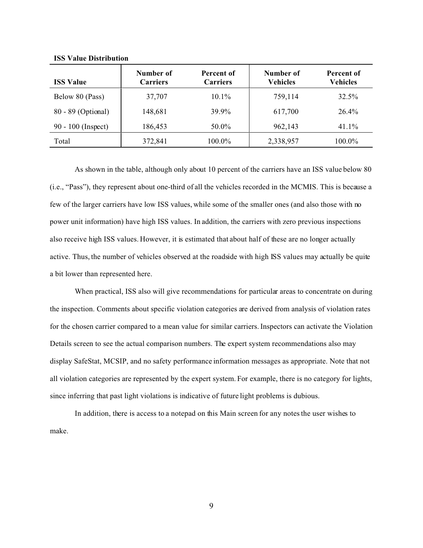| <b>ISS Value</b>     | Number of<br><b>Carriers</b> | Percent of<br><b>Carriers</b> | Number of<br><b>Vehicles</b> | Percent of<br><b>Vehicles</b> |
|----------------------|------------------------------|-------------------------------|------------------------------|-------------------------------|
| Below 80 (Pass)      | 37,707                       | $10.1\%$                      | 759,114                      | 32.5%                         |
| 80 - 89 (Optional)   | 148,681                      | 39.9%                         | 617,700                      | 26.4%                         |
| $90 - 100$ (Inspect) | 186,453                      | 50.0%                         | 962,143                      | 41.1%                         |
| Total                | 372,841                      | 100.0%                        | 2,338,957                    | 100.0%                        |

**ISS Value Distribution**

As shown in the table, although only about 10 percent of the carriers have an ISS value below 80 (i.e., "Pass"), they represent about one-third of all the vehicles recorded in the MCMIS. This is because a few of the larger carriers have low ISS values, while some of the smaller ones (and also those with no power unit information) have high ISS values. In addition, the carriers with zero previous inspections also receive high ISS values. However, it is estimated that about half of these are no longer actually active. Thus, the number of vehicles observed at the roadside with high ISS values may actually be quite a bit lower than represented here.

When practical, ISS also will give recommendations for particular areas to concentrate on during the inspection. Comments about specific violation categories are derived from analysis of violation rates for the chosen carrier compared to a mean value for similar carriers. Inspectors can activate the Violation Details screen to see the actual comparison numbers. The expert system recommendations also may display SafeStat, MCSIP, and no safety performance information messages as appropriate. Note that not all violation categories are represented by the expert system. For example, there is no category for lights, since inferring that past light violations is indicative of future light problems is dubious.

In addition, there is access to a notepad on this Main screen for any notes the user wishes to make.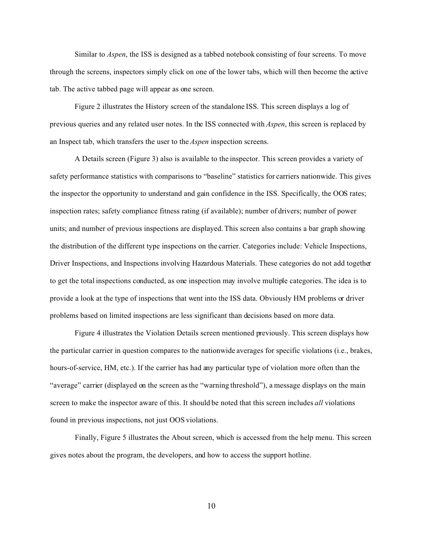Similar to *Aspen*, the ISS is designed as a tabbed notebook consisting of four screens. To move through the screens, inspectors simply click on one of the lower tabs, which will then become the active tab. The active tabbed page will appear as one screen.

Figure 2 illustrates the History screen of the standalone ISS. This screen displays a log of previous queries and any related user notes. In the ISS connected with *Aspen*, this screen is replaced by an Inspect tab, which transfers the user to the *Aspen* inspection screens.

A Details screen (Figure 3) also is available to the inspector. This screen provides a variety of safety performance statistics with comparisons to "baseline" statistics for carriers nationwide. This gives the inspector the opportunity to understand and gain confidence in the ISS. Specifically, the OOS rates; inspection rates; safety compliance fitness rating (if available); number of drivers; number of power units; and number of previous inspections are displayed. This screen also contains a bar graph showing the distribution of the different type inspections on the carrier. Categories include: Vehicle Inspections, Driver Inspections, and Inspections involving Hazardous Materials. These categories do not add together to get the total inspections conducted, as one inspection may involve multiple categories. The idea is to provide a look at the type of inspections that went into the ISS data. Obviously HM problems or driver problems based on limited inspections are less significant than decisions based on more data.

Figure 4 illustrates the Violation Details screen mentioned previously. This screen displays how the particular carrier in question compares to the nationwide averages for specific violations (i.e., brakes, hours-of-service, HM, etc.). If the carrier has had any particular type of violation more often than the "average" carrier (displayed on the screen as the "warning threshold"), a message displays on the main screen to make the inspector aware of this. It should be noted that this screen includes *all* violations found in previous inspections, not just OOS violations.

Finally, Figure 5 illustrates the About screen, which is accessed from the help menu. This screen gives notes about the program, the developers, and how to access the support hotline.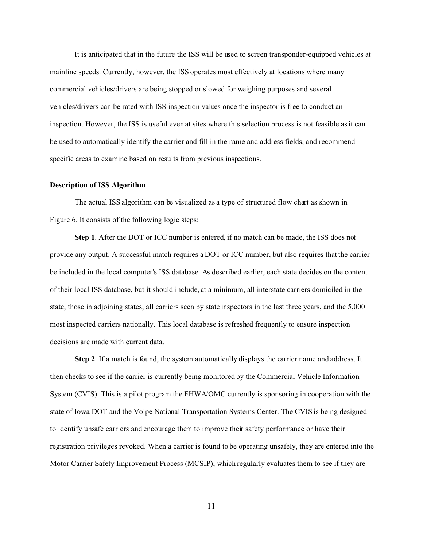It is anticipated that in the future the ISS will be used to screen transponder-equipped vehicles at mainline speeds. Currently, however, the ISS operates most effectively at locations where many commercial vehicles/drivers are being stopped or slowed for weighing purposes and several vehicles/drivers can be rated with ISS inspection values once the inspector is free to conduct an inspection. However, the ISS is useful even at sites where this selection process is not feasible as it can be used to automatically identify the carrier and fill in the name and address fields, and recommend specific areas to examine based on results from previous inspections.

#### **Description of ISS Algorithm**

The actual ISS algorithm can be visualized as a type of structured flow chart as shown in Figure 6. It consists of the following logic steps:

**Step 1**. After the DOT or ICC number is entered, if no match can be made, the ISS does not provide any output. A successful match requires a DOT or ICC number, but also requires that the carrier be included in the local computer's ISS database. As described earlier, each state decides on the content of their local ISS database, but it should include, at a minimum, all interstate carriers domiciled in the state, those in adjoining states, all carriers seen by state inspectors in the last three years, and the 5,000 most inspected carriers nationally. This local database is refreshed frequently to ensure inspection decisions are made with current data.

**Step 2**. If a match is found, the system automatically displays the carrier name and address. It then checks to see if the carrier is currently being monitored by the Commercial Vehicle Information System (CVIS). This is a pilot program the FHWA/OMC currently is sponsoring in cooperation with the state of Iowa DOT and the Volpe National Transportation Systems Center. The CVIS is being designed to identify unsafe carriers and encourage them to improve their safety performance or have their registration privileges revoked. When a carrier is found to be operating unsafely, they are entered into the Motor Carrier Safety Improvement Process (MCSIP), which regularly evaluates them to see if they are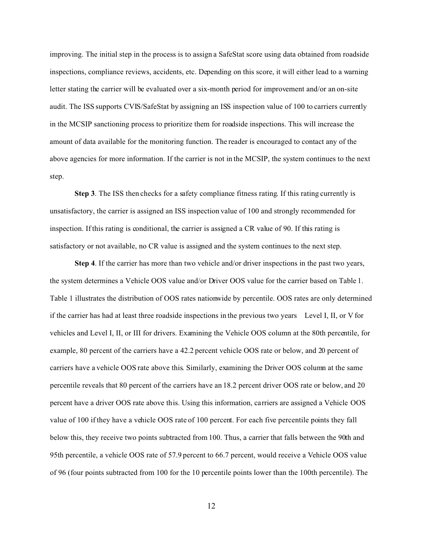improving. The initial step in the process is to assign a SafeStat score using data obtained from roadside inspections, compliance reviews, accidents, etc. Depending on this score, it will either lead to a warning letter stating the carrier will be evaluated over a six-month period for improvement and/or an on-site audit. The ISS supports CVIS/SafeStat by assigning an ISS inspection value of 100 to carriers currently in the MCSIP sanctioning process to prioritize them for roadside inspections. This will increase the amount of data available for the monitoring function. The reader is encouraged to contact any of the above agencies for more information. If the carrier is not in the MCSIP, the system continues to the next step.

**Step 3**. The ISS then checks for a safety compliance fitness rating. If this rating currently is unsatisfactory, the carrier is assigned an ISS inspection value of 100 and strongly recommended for inspection. If this rating is conditional, the carrier is assigned a CR value of 90. If this rating is satisfactory or not available, no CR value is assigned and the system continues to the next step.

**Step 4**. If the carrier has more than two vehicle and/or driver inspections in the past two years, the system determines a Vehicle OOS value and/or Driver OOS value for the carrier based on Table 1. Table 1 illustrates the distribution of OOS rates nationwide by percentile. OOS rates are only determined if the carrier has had at least three roadside inspections in the previous two years Level I, II, or V for vehicles and Level I, II, or III for drivers. Examining the Vehicle OOS column at the 80th percentile, for example, 80 percent of the carriers have a 42.2 percent vehicle OOS rate or below, and 20 percent of carriers have a vehicle OOS rate above this. Similarly, examining the Driver OOS column at the same percentile reveals that 80 percent of the carriers have an 18.2 percent driver OOS rate or below, and 20 percent have a driver OOS rate above this. Using this information, carriers are assigned a Vehicle OOS value of 100 if they have a vehicle OOS rate of 100 percent. For each five percentile points they fall below this, they receive two points subtracted from 100. Thus, a carrier that falls between the 90th and 95th percentile, a vehicle OOS rate of 57.9 percent to 66.7 percent, would receive a Vehicle OOS value of 96 (four points subtracted from 100 for the 10 percentile points lower than the 100th percentile). The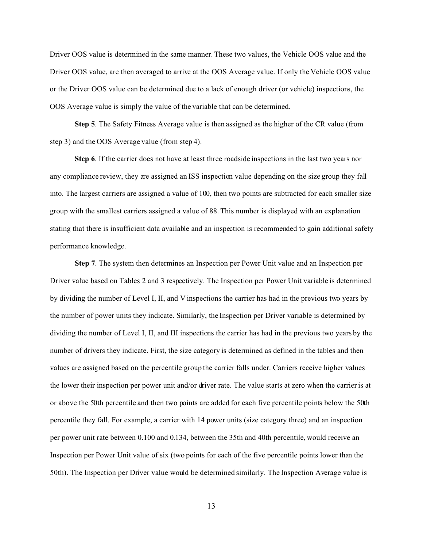Driver OOS value is determined in the same manner. These two values, the Vehicle OOS value and the Driver OOS value, are then averaged to arrive at the OOS Average value. If only the Vehicle OOS value or the Driver OOS value can be determined due to a lack of enough driver (or vehicle) inspections, the OOS Average value is simply the value of the variable that can be determined.

**Step 5**. The Safety Fitness Average value is then assigned as the higher of the CR value (from step 3) and the OOS Average value (from step 4).

**Step 6**. If the carrier does not have at least three roadside inspections in the last two years nor any compliance review, they are assigned an ISS inspection value depending on the size group they fall into. The largest carriers are assigned a value of 100, then two points are subtracted for each smaller size group with the smallest carriers assigned a value of 88. This number is displayed with an explanation stating that there is insufficient data available and an inspection is recommended to gain additional safety performance knowledge.

**Step 7**. The system then determines an Inspection per Power Unit value and an Inspection per Driver value based on Tables 2 and 3 respectively. The Inspection per Power Unit variable is determined by dividing the number of Level I, II, and V inspections the carrier has had in the previous two years by the number of power units they indicate. Similarly, the Inspection per Driver variable is determined by dividing the number of Level I, II, and III inspections the carrier has had in the previous two years by the number of drivers they indicate. First, the size category is determined as defined in the tables and then values are assigned based on the percentile group the carrier falls under. Carriers receive higher values the lower their inspection per power unit and/or driver rate. The value starts at zero when the carrier is at or above the 50th percentile and then two points are added for each five percentile points below the 50th percentile they fall. For example, a carrier with 14 power units (size category three) and an inspection per power unit rate between 0.100 and 0.134, between the 35th and 40th percentile, would receive an Inspection per Power Unit value of six (two points for each of the five percentile points lower than the 50th). The Inspection per Driver value would be determined similarly. The Inspection Average value is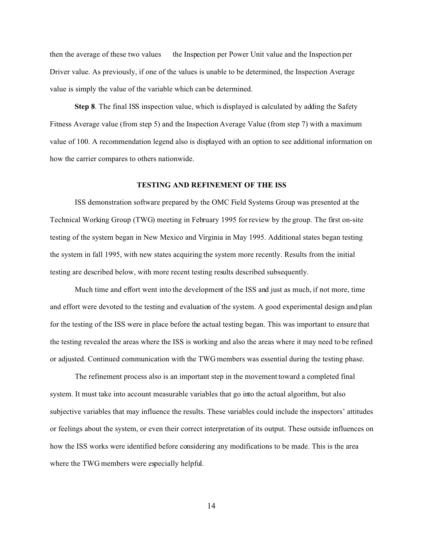then the average of these two values the Inspection per Power Unit value and the Inspection per Driver value. As previously, if one of the values is unable to be determined, the Inspection Average value is simply the value of the variable which can be determined.

**Step 8**. The final ISS inspection value, which is displayed is calculated by adding the Safety Fitness Average value (from step 5) and the Inspection Average Value (from step 7) with a maximum value of 100. A recommendation legend also is displayed with an option to see additional information on how the carrier compares to others nationwide.

#### **TESTING AND REFINEMENT OF THE ISS**

ISS demonstration software prepared by the OMC Field Systems Group was presented at the Technical Working Group (TWG) meeting in February 1995 for review by the group. The first on-site testing of the system began in New Mexico and Virginia in May 1995. Additional states began testing the system in fall 1995, with new states acquiring the system more recently. Results from the initial testing are described below, with more recent testing results described subsequently.

Much time and effort went into the development of the ISS and just as much, if not more, time and effort were devoted to the testing and evaluation of the system. A good experimental design and plan for the testing of the ISS were in place before the actual testing began. This was important to ensure that the testing revealed the areas where the ISS is working and also the areas where it may need to be refined or adjusted. Continued communication with the TWG members was essential during the testing phase.

The refinement process also is an important step in the movement toward a completed final system. It must take into account measurable variables that go into the actual algorithm, but also subjective variables that may influence the results. These variables could include the inspectors' attitudes or feelings about the system, or even their correct interpretation of its output. These outside influences on how the ISS works were identified before considering any modifications to be made. This is the area where the TWG members were especially helpful.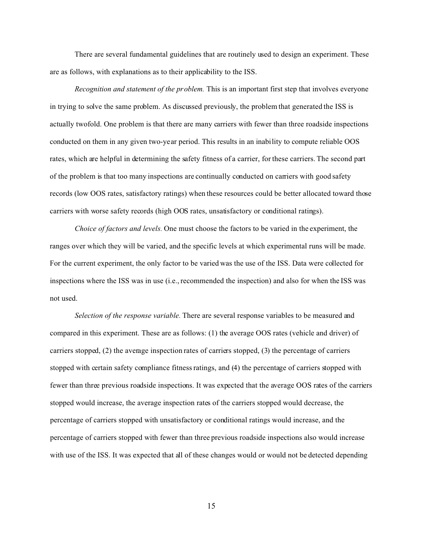There are several fundamental guidelines that are routinely used to design an experiment. These are as follows, with explanations as to their applicability to the ISS.

*Recognition and statement of the problem.* This is an important first step that involves everyone in trying to solve the same problem. As discussed previously, the problem that generated the ISS is actually twofold. One problem is that there are many carriers with fewer than three roadside inspections conducted on them in any given two-year period. This results in an inability to compute reliable OOS rates, which are helpful in determining the safety fitness of a carrier, for these carriers. The second part of the problem is that too many inspections are continually conducted on carriers with good safety records (low OOS rates, satisfactory ratings) when these resources could be better allocated toward those carriers with worse safety records (high OOS rates, unsatisfactory or conditional ratings).

*Choice of factors and levels.* One must choose the factors to be varied in the experiment, the ranges over which they will be varied, and the specific levels at which experimental runs will be made. For the current experiment, the only factor to be varied was the use of the ISS. Data were collected for inspections where the ISS was in use (i.e., recommended the inspection) and also for when the ISS was not used.

*Selection of the response variable.* There are several response variables to be measured and compared in this experiment. These are as follows: (1) the average OOS rates (vehicle and driver) of carriers stopped, (2) the average inspection rates of carriers stopped, (3) the percentage of carriers stopped with certain safety compliance fitness ratings, and (4) the percentage of carriers stopped with fewer than three previous roadside inspections. It was expected that the average OOS rates of the carriers stopped would increase, the average inspection rates of the carriers stopped would decrease, the percentage of carriers stopped with unsatisfactory or conditional ratings would increase, and the percentage of carriers stopped with fewer than three previous roadside inspections also would increase with use of the ISS. It was expected that all of these changes would or would not be detected depending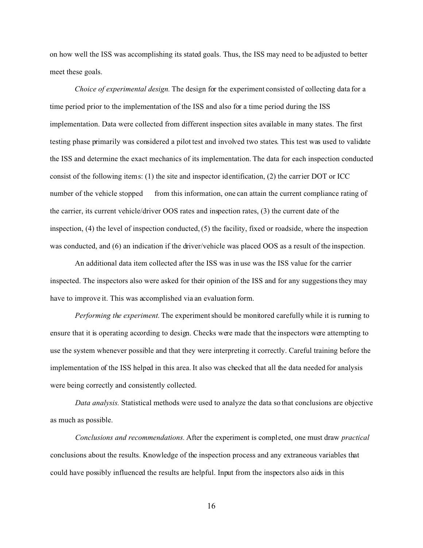on how well the ISS was accomplishing its stated goals. Thus, the ISS may need to be adjusted to better meet these goals.

*Choice of experimental design.* The design for the experiment consisted of collecting data for a time period prior to the implementation of the ISS and also for a time period during the ISS implementation. Data were collected from different inspection sites available in many states. The first testing phase primarily was considered a pilot test and involved two states. This test was used to validate the ISS and determine the exact mechanics of its implementation. The data for each inspection conducted consist of the following items: (1) the site and inspector identification, (2) the carrier DOT or ICC number of the vehicle stopped from this information, one can attain the current compliance rating of the carrier, its current vehicle/driver OOS rates and inspection rates, (3) the current date of the inspection, (4) the level of inspection conducted, (5) the facility, fixed or roadside, where the inspection was conducted, and (6) an indication if the driver/vehicle was placed OOS as a result of the inspection.

An additional data item collected after the ISS was in use was the ISS value for the carrier inspected. The inspectors also were asked for their opinion of the ISS and for any suggestions they may have to improve it. This was accomplished via an evaluation form.

*Performing the experiment.* The experiment should be monitored carefully while it is running to ensure that it is operating according to design. Checks were made that the inspectors were attempting to use the system whenever possible and that they were interpreting it correctly. Careful training before the implementation of the ISS helped in this area. It also was checked that all the data needed for analysis were being correctly and consistently collected.

*Data analysis.* Statistical methods were used to analyze the data so that conclusions are objective as much as possible.

*Conclusions and recommendations.* After the experiment is completed, one must draw *practical* conclusions about the results. Knowledge of the inspection process and any extraneous variables that could have possibly influenced the results are helpful. Input from the inspectors also aids in this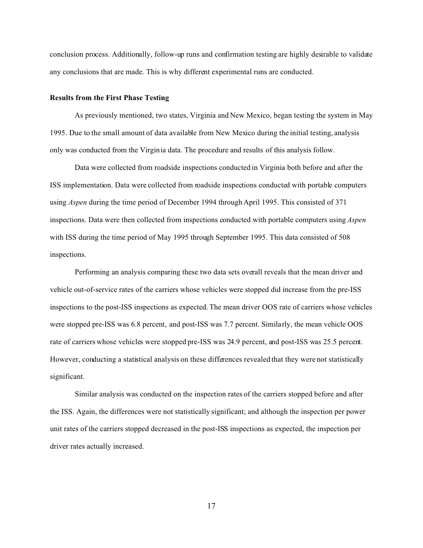conclusion process. Additionally, follow-up runs and confirmation testing are highly desirable to validate any conclusions that are made. This is why different experimental runs are conducted.

#### **Results from the First Phase Testing**

As previously mentioned, two states, Virginia and New Mexico, began testing the system in May 1995. Due to the small amount of data available from New Mexico during the initial testing, analysis only was conducted from the Virginia data. The procedure and results of this analysis follow.

Data were collected from roadside inspections conducted in Virginia both before and after the ISS implementation. Data were collected from roadside inspections conducted with portable computers using *Aspen* during the time period of December 1994 through April 1995. This consisted of 371 inspections. Data were then collected from inspections conducted with portable computers using *Aspen* with ISS during the time period of May 1995 through September 1995. This data consisted of 508 inspections.

Performing an analysis comparing these two data sets overall reveals that the mean driver and vehicle out-of-service rates of the carriers whose vehicles were stopped did increase from the pre-ISS inspections to the post-ISS inspections as expected. The mean driver OOS rate of carriers whose vehicles were stopped pre-ISS was 6.8 percent, and post-ISS was 7.7 percent. Similarly, the mean vehicle OOS rate of carriers whose vehicles were stopped pre-ISS was 24.9 percent, and post-ISS was 25.5 percent. However, conducting a statistical analysis on these differences revealed that they were not statistically significant.

Similar analysis was conducted on the inspection rates of the carriers stopped before and after the ISS. Again, the differences were not statistically significant; and although the inspection per power unit rates of the carriers stopped decreased in the post-ISS inspections as expected, the inspection per driver rates actually increased.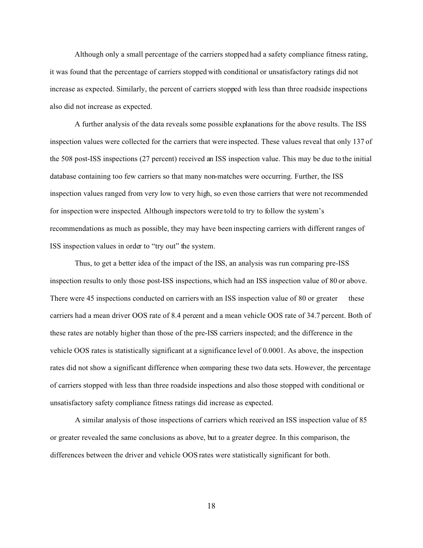Although only a small percentage of the carriers stopped had a safety compliance fitness rating, it was found that the percentage of carriers stopped with conditional or unsatisfactory ratings did not increase as expected. Similarly, the percent of carriers stopped with less than three roadside inspections also did not increase as expected.

A further analysis of the data reveals some possible explanations for the above results. The ISS inspection values were collected for the carriers that were inspected. These values reveal that only 137 of the 508 post-ISS inspections (27 percent) received an ISS inspection value. This may be due to the initial database containing too few carriers so that many non-matches were occurring. Further, the ISS inspection values ranged from very low to very high, so even those carriers that were not recommended for inspection were inspected. Although inspectors were told to try to follow the system's recommendations as much as possible, they may have been inspecting carriers with different ranges of ISS inspection values in order to "try out" the system.

Thus, to get a better idea of the impact of the ISS, an analysis was run comparing pre-ISS inspection results to only those post-ISS inspections, which had an ISS inspection value of 80 or above. There were 45 inspections conducted on carriers with an ISS inspection value of 80 or greater these carriers had a mean driver OOS rate of 8.4 percent and a mean vehicle OOS rate of 34.7 percent. Both of these rates are notably higher than those of the pre-ISS carriers inspected; and the difference in the vehicle OOS rates is statistically significant at a significance level of 0.0001. As above, the inspection rates did not show a significant difference when comparing these two data sets. However, the percentage of carriers stopped with less than three roadside inspections and also those stopped with conditional or unsatisfactory safety compliance fitness ratings did increase as expected.

A similar analysis of those inspections of carriers which received an ISS inspection value of 85 or greater revealed the same conclusions as above, but to a greater degree. In this comparison, the differences between the driver and vehicle OOS rates were statistically significant for both.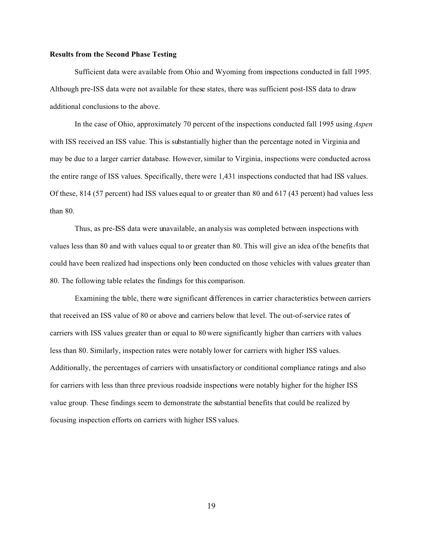#### **Results from the Second Phase Testing**

Sufficient data were available from Ohio and Wyoming from inspections conducted in fall 1995. Although pre-ISS data were not available for these states, there was sufficient post-ISS data to draw additional conclusions to the above.

In the case of Ohio, approximately 70 percent of the inspections conducted fall 1995 using *Aspen* with ISS received an ISS value. This is substantially higher than the percentage noted in Virginia and may be due to a larger carrier database. However, similar to Virginia, inspections were conducted across the entire range of ISS values. Specifically, there were 1,431 inspections conducted that had ISS values. Of these, 814 (57 percent) had ISS values equal to or greater than 80 and 617 (43 percent) had values less than 80.

Thus, as pre-ISS data were unavailable, an analysis was completed between inspections with values less than 80 and with values equal to or greater than 80. This will give an idea of the benefits that could have been realized had inspections only been conducted on those vehicles with values greater than 80. The following table relates the findings for this comparison.

Examining the table, there were significant differences in carrier characteristics between carriers that received an ISS value of 80 or above and carriers below that level. The out-of-service rates of carriers with ISS values greater than or equal to 80 were significantly higher than carriers with values less than 80. Similarly, inspection rates were notably lower for carriers with higher ISS values. Additionally, the percentages of carriers with unsatisfactory or conditional compliance ratings and also for carriers with less than three previous roadside inspections were notably higher for the higher ISS value group. These findings seem to demonstrate the substantial benefits that could be realized by focusing inspection efforts on carriers with higher ISS values.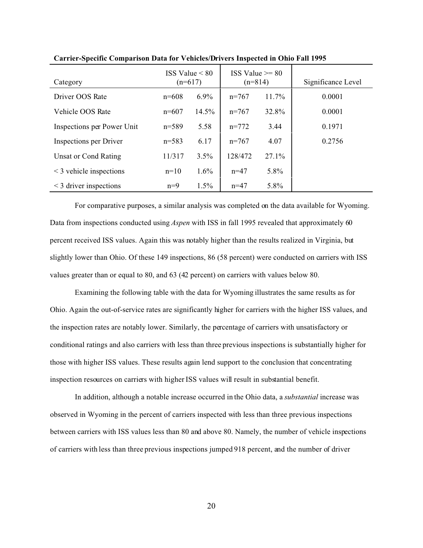| Category                     | ISS Value $\leq 80$<br>$(n=617)$ |         | $ISS Value \ge 80$<br>$(n=814)$ |          | Significance Level |
|------------------------------|----------------------------------|---------|---------------------------------|----------|--------------------|
| Driver OOS Rate              | $n = 608$                        | $6.9\%$ | $n=767$                         | 11.7%    | 0.0001             |
| Vehicle OOS Rate             | $n=607$                          | 14.5%   | $n=767$                         | 32.8%    | 0.0001             |
| Inspections per Power Unit   | $n=589$                          | 5.58    | $n = 772$                       | 3.44     | 0.1971             |
| Inspections per Driver       | $n = 583$                        | 6.17    | $n=767$                         | 4.07     | 0.2756             |
| Unsat or Cond Rating         | 11/317                           | 3.5%    | 128/472                         | $27.1\%$ |                    |
| $\leq$ 3 vehicle inspections | $n=10$                           | $1.6\%$ | $n=47$                          | 5.8%     |                    |
| $\leq$ 3 driver inspections  | $n=9$                            | $1.5\%$ | $n = 47$                        | 5.8%     |                    |

**Carrier-Specific Comparison Data for Vehicles/Drivers Inspected in Ohio Fall 1995**

For comparative purposes, a similar analysis was completed on the data available for Wyoming. Data from inspections conducted using *Aspen* with ISS in fall 1995 revealed that approximately 60 percent received ISS values. Again this was notably higher than the results realized in Virginia, but slightly lower than Ohio. Of these 149 inspections, 86 (58 percent) were conducted on carriers with ISS values greater than or equal to 80, and 63 (42 percent) on carriers with values below 80.

Examining the following table with the data for Wyoming illustrates the same results as for Ohio. Again the out-of-service rates are significantly higher for carriers with the higher ISS values, and the inspection rates are notably lower. Similarly, the percentage of carriers with unsatisfactory or conditional ratings and also carriers with less than three previous inspections is substantially higher for those with higher ISS values. These results again lend support to the conclusion that concentrating inspection resources on carriers with higher ISS values will result in substantial benefit.

In addition, although a notable increase occurred in the Ohio data, a *substantial* increase was observed in Wyoming in the percent of carriers inspected with less than three previous inspections between carriers with ISS values less than 80 and above 80. Namely, the number of vehicle inspections of carriers with less than three previous inspections jumped 918 percent, and the number of driver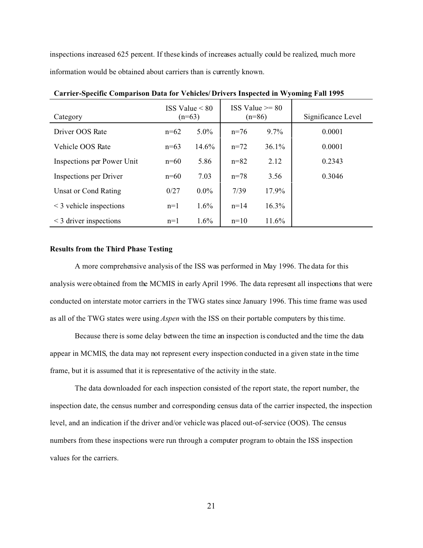inspections increased 625 percent. If these kinds of increases actually could be realized, much more information would be obtained about carriers than is currently known.

| Category                     | ISS Value $< 80$<br>$(n=63)$ |         | $ISS Value \ge 80$<br>$(n=86)$ |          | Significance Level |
|------------------------------|------------------------------|---------|--------------------------------|----------|--------------------|
| Driver OOS Rate              | $n=62$                       | $5.0\%$ | $n=76$                         | $9.7\%$  | 0.0001             |
| Vehicle OOS Rate             | $n=63$                       | 14.6%   | $n=72$                         | $36.1\%$ | 0.0001             |
| Inspections per Power Unit   | $n=60$                       | 5.86    | $n = 82$                       | 2.12     | 0.2343             |
| Inspections per Driver       | $n=60$                       | 7.03    | $n = 78$                       | 3.56     | 0.3046             |
| Unsat or Cond Rating         | 0/27                         | $0.0\%$ | 7/39                           | 17.9%    |                    |
| $\leq$ 3 vehicle inspections | $n=1$                        | 1.6%    | $n = 14$                       | 16.3%    |                    |
| $\leq$ 3 driver inspections  | $n=1$                        | 1.6%    | $n=10$                         | 11.6%    |                    |

**Carrier-Specific Comparison Data for Vehicles/ Drivers Inspected in Wyoming Fall 1995**

#### **Results from the Third Phase Testing**

A more comprehensive analysis of the ISS was performed in May 1996. The data for this analysis were obtained from the MCMIS in early April 1996. The data represent all inspections that were conducted on interstate motor carriers in the TWG states since January 1996. This time frame was used as all of the TWG states were using *Aspen* with the ISS on their portable computers by this time.

Because there is some delay between the time an inspection is conducted and the time the data appear in MCMIS, the data may not represent every inspection conducted in a given state in the time frame, but it is assumed that it is representative of the activity in the state.

The data downloaded for each inspection consisted of the report state, the report number, the inspection date, the census number and corresponding census data of the carrier inspected, the inspection level, and an indication if the driver and/or vehicle was placed out-of-service (OOS). The census numbers from these inspections were run through a computer program to obtain the ISS inspection values for the carriers.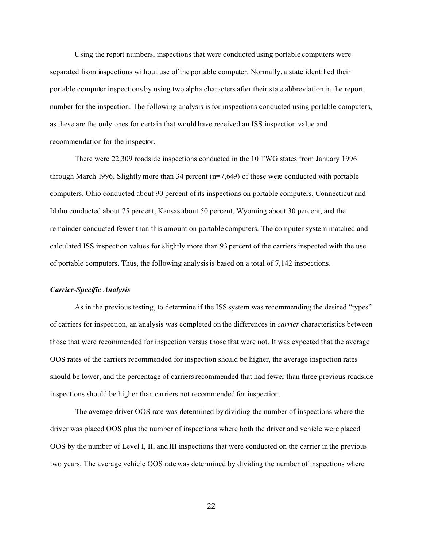Using the report numbers, inspections that were conducted using portable computers were separated from inspections without use of the portable computer. Normally, a state identified their portable computer inspections by using two alpha characters after their state abbreviation in the report number for the inspection. The following analysis is for inspections conducted using portable computers, as these are the only ones for certain that would have received an ISS inspection value and recommendation for the inspector.

There were 22,309 roadside inspections conducted in the 10 TWG states from January 1996 through March 1996. Slightly more than 34 percent (n=7,649) of these were conducted with portable computers. Ohio conducted about 90 percent of its inspections on portable computers, Connecticut and Idaho conducted about 75 percent, Kansas about 50 percent, Wyoming about 30 percent, and the remainder conducted fewer than this amount on portable computers. The computer system matched and calculated ISS inspection values for slightly more than 93 percent of the carriers inspected with the use of portable computers. Thus, the following analysis is based on a total of 7,142 inspections.

#### *Carrier-Specific Analysis*

As in the previous testing, to determine if the ISS system was recommending the desired "types" of carriers for inspection, an analysis was completed on the differences in *carrier* characteristics between those that were recommended for inspection versus those that were not. It was expected that the average OOS rates of the carriers recommended for inspection should be higher, the average inspection rates should be lower, and the percentage of carriers recommended that had fewer than three previous roadside inspections should be higher than carriers not recommended for inspection.

The average driver OOS rate was determined by dividing the number of inspections where the driver was placed OOS plus the number of inspections where both the driver and vehicle were placed OOS by the number of Level I, II, and III inspections that were conducted on the carrier in the previous two years. The average vehicle OOS rate was determined by dividing the number of inspections where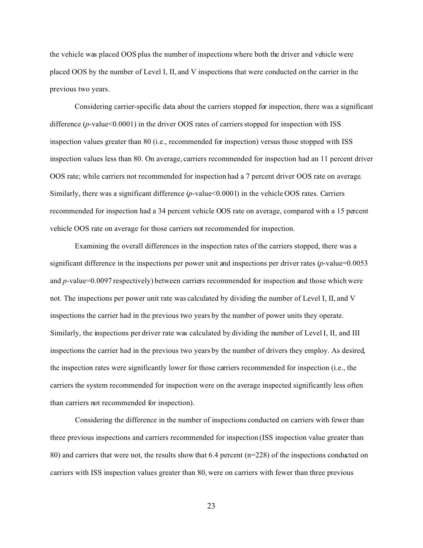the vehicle was placed OOS plus the number of inspections where both the driver and vehicle were placed OOS by the number of Level I, II, and V inspections that were conducted on the carrier in the previous two years.

Considering carrier-specific data about the carriers stopped for inspection, there was a significant difference (*p*-value<0.0001) in the driver OOS rates of carriers stopped for inspection with ISS inspection values greater than 80 (i.e., recommended for inspection) versus those stopped with ISS inspection values less than 80. On average, carriers recommended for inspection had an 11 percent driver OOS rate; while carriers not recommended for inspection had a 7 percent driver OOS rate on average. Similarly, there was a significant difference (*p*-value<0.0001) in the vehicle OOS rates. Carriers recommended for inspection had a 34 percent vehicle OOS rate on average, compared with a 15 percent vehicle OOS rate on average for those carriers not recommended for inspection.

Examining the overall differences in the inspection rates of the carriers stopped, there was a significant difference in the inspections per power unit and inspections per driver rates (*p*-value=0.0053 and *p*-value=0.0097 respectively) between carriers recommended for inspection and those which were not. The inspections per power unit rate was calculated by dividing the number of Level I, II, and V inspections the carrier had in the previous two years by the number of power units they operate. Similarly, the inspections per driver rate was calculated by dividing the number of Level I, II, and III inspections the carrier had in the previous two years by the number of drivers they employ. As desired, the inspection rates were significantly lower for those carriers recommended for inspection (i.e., the carriers the system recommended for inspection were on the average inspected significantly less often than carriers not recommended for inspection).

Considering the difference in the number of inspections conducted on carriers with fewer than three previous inspections and carriers recommended for inspection (ISS inspection value greater than 80) and carriers that were not, the results show that 6.4 percent (n=228) of the inspections conducted on carriers with ISS inspection values greater than 80, were on carriers with fewer than three previous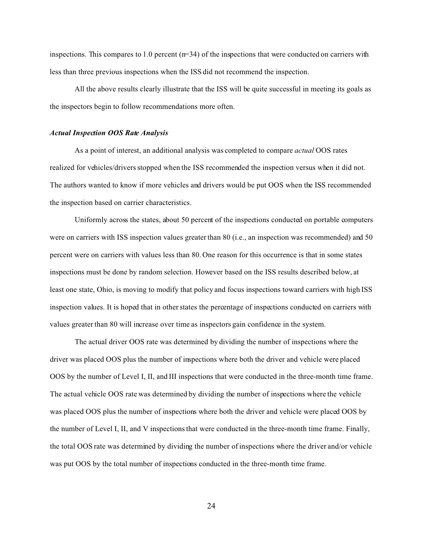inspections. This compares to 1.0 percent  $(m=34)$  of the inspections that were conducted on carriers with less than three previous inspections when the ISS did not recommend the inspection.

All the above results clearly illustrate that the ISS will be quite successful in meeting its goals as the inspectors begin to follow recommendations more often.

#### *Actual Inspection OOS Rate Analysis*

As a point of interest, an additional analysis was completed to compare *actual* OOS rates realized for vehicles/drivers stopped when the ISS recommended the inspection versus when it did not. The authors wanted to know if more vehicles and drivers would be put OOS when the ISS recommended the inspection based on carrier characteristics.

Uniformly across the states, about 50 percent of the inspections conducted on portable computers were on carriers with ISS inspection values greater than 80 (i.e., an inspection was recommended) and 50 percent were on carriers with values less than 80. One reason for this occurrence is that in some states inspections must be done by random selection. However based on the ISS results described below, at least one state, Ohio, is moving to modify that policy and focus inspections toward carriers with high ISS inspection values. It is hoped that in other states the percentage of inspections conducted on carriers with values greater than 80 will increase over time as inspectors gain confidence in the system.

The actual driver OOS rate was determined by dividing the number of inspections where the driver was placed OOS plus the number of inspections where both the driver and vehicle were placed OOS by the number of Level I, II, and III inspections that were conducted in the three-month time frame. The actual vehicle OOS rate was determined by dividing the number of inspections where the vehicle was placed OOS plus the number of inspections where both the driver and vehicle were placed OOS by the number of Level I, II, and V inspections that were conducted in the three-month time frame. Finally, the total OOS rate was determined by dividing the number of inspections where the driver and/or vehicle was put OOS by the total number of inspections conducted in the three-month time frame.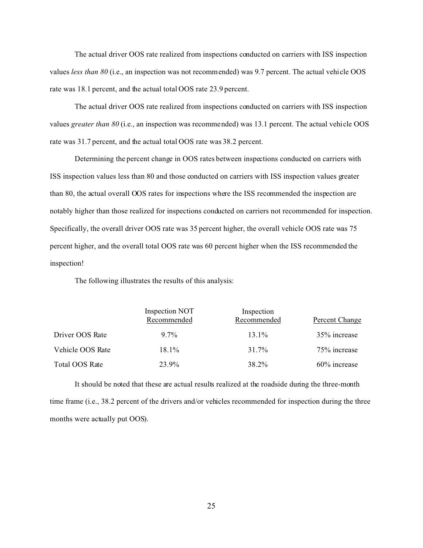The actual driver OOS rate realized from inspections conducted on carriers with ISS inspection values *less than 80* (i.e., an inspection was not recommended) was 9.7 percent. The actual vehicle OOS rate was 18.1 percent, and the actual total OOS rate 23.9 percent.

The actual driver OOS rate realized from inspections conducted on carriers with ISS inspection values *greater than 80* (i.e., an inspection was recommended) was 13.1 percent. The actual vehicle OOS rate was 31.7 percent, and the actual total OOS rate was 38.2 percent.

Determining the percent change in OOS rates between inspections conducted on carriers with ISS inspection values less than 80 and those conducted on carriers with ISS inspection values greater than 80, the actual overall OOS rates for inspections where the ISS recommended the inspection are notably higher than those realized for inspections conducted on carriers not recommended for inspection. Specifically, the overall driver OOS rate was 35 percent higher, the overall vehicle OOS rate was 75 percent higher, and the overall total OOS rate was 60 percent higher when the ISS recommended the inspection!

The following illustrates the results of this analysis:

|                  | <b>Inspection NOT</b><br>Recommended | Inspection<br>Recommended | Percent Change  |
|------------------|--------------------------------------|---------------------------|-----------------|
| Driver OOS Rate  | $9.7\%$                              | $13.1\%$                  | 35% increase    |
| Vehicle OOS Rate | $18.1\%$                             | 31.7%                     | 75% increase    |
| Total OOS Rate   | 23.9%                                | 38.2%                     | $60\%$ increase |

It should be noted that these are actual results realized at the roadside during the three-month time frame (i.e., 38.2 percent of the drivers and/or vehicles recommended for inspection during the three months were actually put OOS).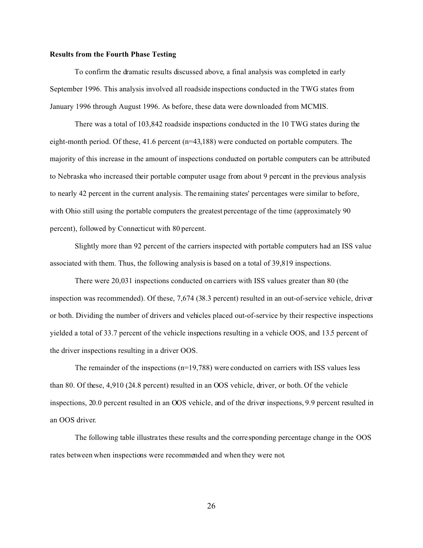#### **Results from the Fourth Phase Testing**

To confirm the dramatic results discussed above, a final analysis was completed in early September 1996. This analysis involved all roadside inspections conducted in the TWG states from January 1996 through August 1996. As before, these data were downloaded from MCMIS.

There was a total of 103,842 roadside inspections conducted in the 10 TWG states during the eight-month period. Of these, 41.6 percent (n=43,188) were conducted on portable computers. The majority of this increase in the amount of inspections conducted on portable computers can be attributed to Nebraska who increased their portable computer usage from about 9 percent in the previous analysis to nearly 42 percent in the current analysis. The remaining states' percentages were similar to before, with Ohio still using the portable computers the greatest percentage of the time (approximately 90 percent), followed by Connecticut with 80 percent.

Slightly more than 92 percent of the carriers inspected with portable computers had an ISS value associated with them. Thus, the following analysis is based on a total of 39,819 inspections.

There were 20,031 inspections conducted on carriers with ISS values greater than 80 (the inspection was recommended). Of these, 7,674 (38.3 percent) resulted in an out-of-service vehicle, driver or both. Dividing the number of drivers and vehicles placed out-of-service by their respective inspections yielded a total of 33.7 percent of the vehicle inspections resulting in a vehicle OOS, and 13.5 percent of the driver inspections resulting in a driver OOS.

The remainder of the inspections  $(n=19,788)$  were conducted on carriers with ISS values less than 80. Of these, 4,910 (24.8 percent) resulted in an OOS vehicle, driver, or both. Of the vehicle inspections, 20.0 percent resulted in an OOS vehicle, and of the driver inspections, 9.9 percent resulted in an OOS driver.

The following table illustrates these results and the corresponding percentage change in the OOS rates between when inspections were recommended and when they were not.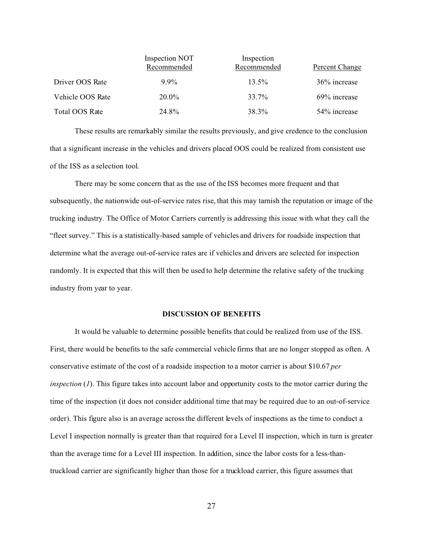|                  | Inspection NOT<br>Recommended | Inspection<br>Recommended | Percent Change |
|------------------|-------------------------------|---------------------------|----------------|
| Driver OOS Rate  | $9.9\%$                       | $13.5\%$                  | 36% increase   |
| Vehicle OOS Rate | $20.0\%$                      | 33.7%                     | 69% increase   |
| Total OOS Rate   | 24.8%                         | 38.3%                     | 54% increase   |

These results are remarkably similar the results previously, and give credence to the conclusion that a significant increase in the vehicles and drivers placed OOS could be realized from consistent use of the ISS as a selection tool.

There may be some concern that as the use of the ISS becomes more frequent and that subsequently, the nationwide out-of-service rates rise, that this may tarnish the reputation or image of the trucking industry. The Office of Motor Carriers currently is addressing this issue with what they call the "fleet survey." This is a statistically-based sample of vehicles and drivers for roadside inspection that determine what the average out-of-service rates are if vehicles and drivers are selected for inspection randomly. It is expected that this will then be used to help determine the relative safety of the trucking industry from year to year.

#### **DISCUSSION OF BENEFITS**

It would be valuable to determine possible benefits that could be realized from use of the ISS. First, there would be benefits to the safe commercial vehicle firms that are no longer stopped as often. A conservative estimate of the cost of a roadside inspection to a motor carrier is about \$10.67 *per inspection* (*1*). This figure takes into account labor and opportunity costs to the motor carrier during the time of the inspection (it does not consider additional time that may be required due to an out-of-service order). This figure also is an average across the different levels of inspections as the time to conduct a Level I inspection normally is greater than that required for a Level II inspection, which in turn is greater than the average time for a Level III inspection. In addition, since the labor costs for a less-thantruckload carrier are significantly higher than those for a truckload carrier, this figure assumes that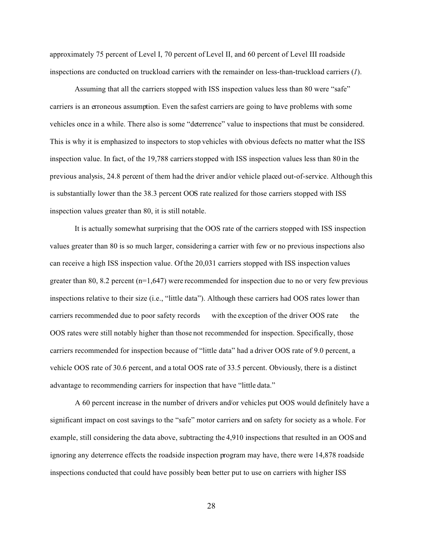approximately 75 percent of Level I, 70 percent of Level II, and 60 percent of Level III roadside inspections are conducted on truckload carriers with the remainder on less-than-truckload carriers (*1*).

Assuming that all the carriers stopped with ISS inspection values less than 80 were "safe" carriers is an erroneous assumption. Even the safest carriers are going to have problems with some vehicles once in a while. There also is some "deterrence" value to inspections that must be considered. This is why it is emphasized to inspectors to stop vehicles with obvious defects no matter what the ISS inspection value. In fact, of the 19,788 carriers stopped with ISS inspection values less than 80 in the previous analysis, 24.8 percent of them had the driver and/or vehicle placed out-of-service. Although this is substantially lower than the 38.3 percent OOS rate realized for those carriers stopped with ISS inspection values greater than 80, it is still notable.

It is actually somewhat surprising that the OOS rate of the carriers stopped with ISS inspection values greater than 80 is so much larger, considering a carrier with few or no previous inspections also can receive a high ISS inspection value. Of the 20,031 carriers stopped with ISS inspection values greater than 80, 8.2 percent  $(n=1,647)$  were recommended for inspection due to no or very few previous inspections relative to their size (i.e., "little data"). Although these carriers had OOS rates lower than carriers recommended due to poor safety records with the exception of the driver OOS rate the OOS rates were still notably higher than those not recommended for inspection. Specifically, those carriers recommended for inspection because of "little data" had a driver OOS rate of 9.0 percent, a vehicle OOS rate of 30.6 percent, and a total OOS rate of 33.5 percent. Obviously, there is a distinct advantage to recommending carriers for inspection that have "little data."

A 60 percent increase in the number of drivers and/or vehicles put OOS would definitely have a significant impact on cost savings to the "safe" motor carriers and on safety for society as a whole. For example, still considering the data above, subtracting the 4,910 inspections that resulted in an OOS and ignoring any deterrence effects the roadside inspection program may have, there were 14,878 roadside inspections conducted that could have possibly been better put to use on carriers with higher ISS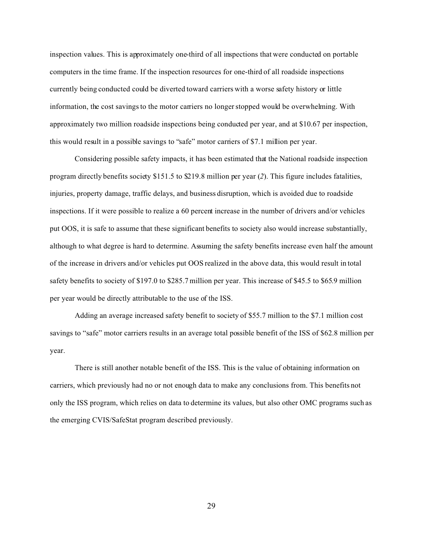inspection values. This is approximately one-third of all inspections that were conducted on portable computers in the time frame. If the inspection resources for one-third of all roadside inspections currently being conducted could be diverted toward carriers with a worse safety history or little information, the cost savings to the motor carriers no longer stopped would be overwhelming. With approximately two million roadside inspections being conducted per year, and at \$10.67 per inspection, this would result in a possible savings to "safe" motor carriers of \$7.1 million per year.

Considering possible safety impacts, it has been estimated that the National roadside inspection program directly benefits society \$151.5 to \$219.8 million per year (*2*). This figure includes fatalities, injuries, property damage, traffic delays, and business disruption, which is avoided due to roadside inspections. If it were possible to realize a 60 percent increase in the number of drivers and/or vehicles put OOS, it is safe to assume that these significant benefits to society also would increase substantially, although to what degree is hard to determine. Assuming the safety benefits increase even half the amount of the increase in drivers and/or vehicles put OOS realized in the above data, this would result in total safety benefits to society of \$197.0 to \$285.7 million per year. This increase of \$45.5 to \$65.9 million per year would be directly attributable to the use of the ISS.

Adding an average increased safety benefit to society of \$55.7 million to the \$7.1 million cost savings to "safe" motor carriers results in an average total possible benefit of the ISS of \$62.8 million per year.

There is still another notable benefit of the ISS. This is the value of obtaining information on carriers, which previously had no or not enough data to make any conclusions from. This benefits not only the ISS program, which relies on data to determine its values, but also other OMC programs such as the emerging CVIS/SafeStat program described previously.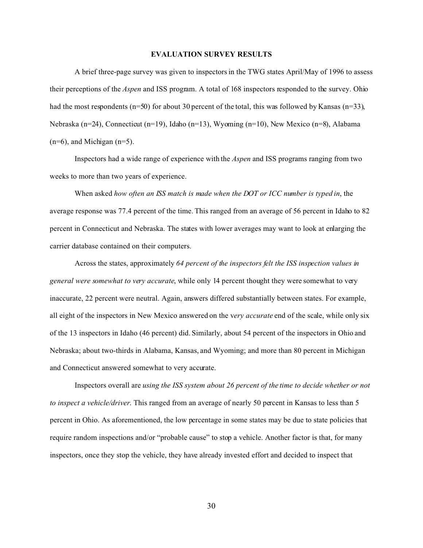#### **EVALUATION SURVEY RESULTS**

A brief three-page survey was given to inspectors in the TWG states April/May of 1996 to assess their perceptions of the *Aspen* and ISS program. A total of 168 inspectors responded to the survey. Ohio had the most respondents (n=50) for about 30 percent of the total, this was followed by Kansas (n=33), Nebraska (n=24), Connecticut (n=19), Idaho (n=13), Wyoming (n=10), New Mexico (n=8), Alabama  $(n=6)$ , and Michigan  $(n=5)$ .

Inspectors had a wide range of experience with the *Aspen* and ISS programs ranging from two weeks to more than two years of experience.

When asked *how often an ISS match is made when the DOT or ICC number is typed in*, the average response was 77.4 percent of the time. This ranged from an average of 56 percent in Idaho to 82 percent in Connecticut and Nebraska. The states with lower averages may want to look at enlarging the carrier database contained on their computers.

Across the states, approximately *64 percent of the inspectors felt the ISS inspection values in general were somewhat to very accurate*, while only 14 percent thought they were somewhat to very inaccurate, 22 percent were neutral. Again, answers differed substantially between states. For example, all eight of the inspectors in New Mexico answered on the v*ery accurate* end of the scale, while only six of the 13 inspectors in Idaho (46 percent) did. Similarly, about 54 percent of the inspectors in Ohio and Nebraska; about two-thirds in Alabama, Kansas, and Wyoming; and more than 80 percent in Michigan and Connecticut answered somewhat to very accurate.

Inspectors overall are *using the ISS system about 26 percent of the time to decide whether or not to inspect a vehicle/driver*. This ranged from an average of nearly 50 percent in Kansas to less than 5 percent in Ohio. As aforementioned, the low percentage in some states may be due to state policies that require random inspections and/or "probable cause" to stop a vehicle. Another factor is that, for many inspectors, once they stop the vehicle, they have already invested effort and decided to inspect that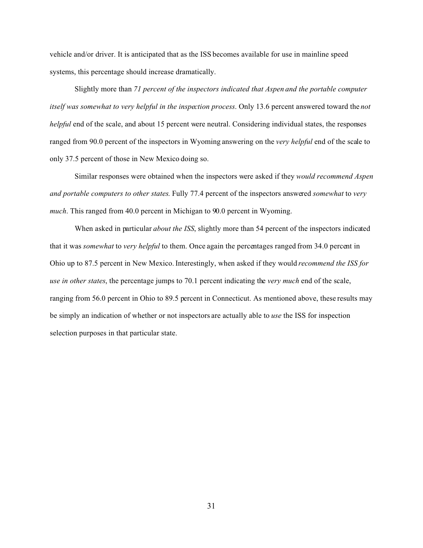vehicle and/or driver. It is anticipated that as the ISS becomes available for use in mainline speed systems, this percentage should increase dramatically.

Slightly more than *71 percent of the inspectors indicated that Aspen and the portable computer itself was somewhat to very helpful in the inspection process*. Only 13.6 percent answered toward the *not helpful* end of the scale, and about 15 percent were neutral. Considering individual states, the responses ranged from 90.0 percent of the inspectors in Wyoming answering on the *very helpful* end of the scale to only 37.5 percent of those in New Mexico doing so.

Similar responses were obtained when the inspectors were asked if they *would recommend Aspen and portable computers to other states*. Fully 77.4 percent of the inspectors answered *somewhat* to *very much*. This ranged from 40.0 percent in Michigan to 90.0 percent in Wyoming.

When asked in particular *about the ISS*, slightly more than 54 percent of the inspectors indicated that it was *somewhat* to *very helpful* to them. Once again the percentages ranged from 34.0 percent in Ohio up to 87.5 percent in New Mexico. Interestingly, when asked if they would *recommend the ISS for use in other states*, the percentage jumps to 70.1 percent indicating the *very much* end of the scale, ranging from 56.0 percent in Ohio to 89.5 percent in Connecticut. As mentioned above, these results may be simply an indication of whether or not inspectors are actually able to *use* the ISS for inspection selection purposes in that particular state.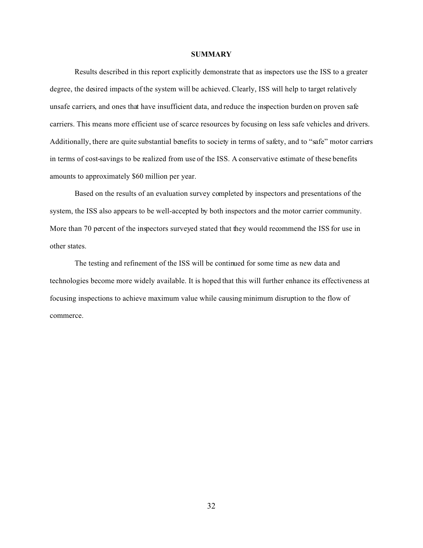#### **SUMMARY**

Results described in this report explicitly demonstrate that as inspectors use the ISS to a greater degree, the desired impacts of the system will be achieved. Clearly, ISS will help to target relatively unsafe carriers, and ones that have insufficient data, and reduce the inspection burden on proven safe carriers. This means more efficient use of scarce resources by focusing on less safe vehicles and drivers. Additionally, there are quite substantial benefits to society in terms of safety, and to "safe" motor carriers in terms of cost-savings to be realized from use of the ISS. A conservative estimate of these benefits amounts to approximately \$60 million per year.

Based on the results of an evaluation survey completed by inspectors and presentations of the system, the ISS also appears to be well-accepted by both inspectors and the motor carrier community. More than 70 percent of the inspectors surveyed stated that they would recommend the ISS for use in other states.

The testing and refinement of the ISS will be continued for some time as new data and technologies become more widely available. It is hoped that this will further enhance its effectiveness at focusing inspections to achieve maximum value while causing minimum disruption to the flow of commerce.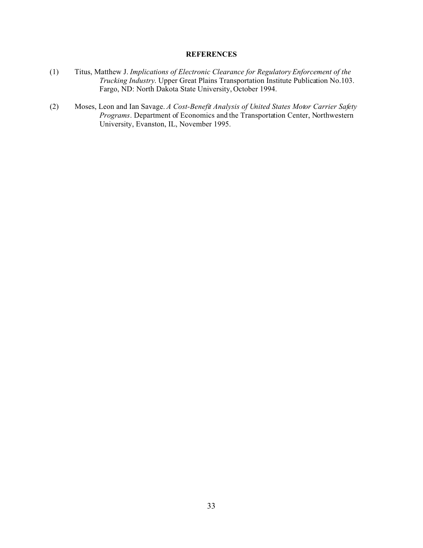#### **REFERENCES**

- (1) Titus, Matthew J. *Implications of Electronic Clearance for Regulatory Enforcement of the Trucking Industry*. Upper Great Plains Transportation Institute Publication No.103. Fargo, ND: North Dakota State University, October 1994.
- (2) Moses, Leon and Ian Savage. *A Cost-Benefit Analysis of United States Motor Carrier Safety Programs*. Department of Economics and the Transportation Center, Northwestern University, Evanston, IL, November 1995.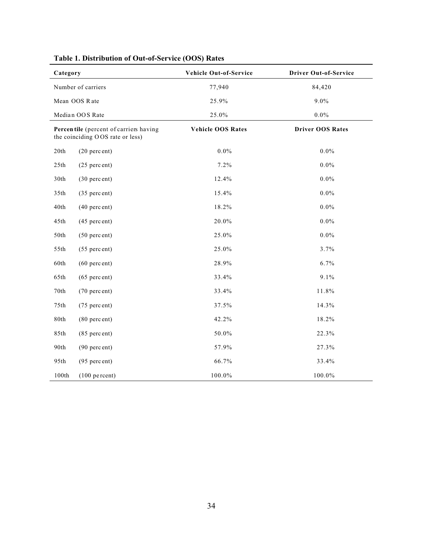| Category |                                                                            | Vehicle Out-of-Service   | <b>Driver Out-of-Service</b> |
|----------|----------------------------------------------------------------------------|--------------------------|------------------------------|
|          | Number of carriers                                                         | 77,940                   | 84,420                       |
|          | Mean OOS Rate                                                              | 25.9%                    | $9.0\%$                      |
|          | Median OOS Rate                                                            | 25.0%                    | $0.0\%$                      |
|          | Percentile (percent of carriers having<br>the coinciding OOS rate or less) | <b>Vehicle OOS Rates</b> | <b>Driver OOS Rates</b>      |
| 20th     | $(20$ percent)                                                             | $0.0\%$                  | $0.0\%$                      |
| 25th     | $(25$ percent)                                                             | 7.2%                     | $0.0\%$                      |
| 30th     | $(30$ percent)                                                             | 12.4%                    | $0.0\%$                      |
| 35th     | (35 percent)                                                               | 15.4%                    | $0.0\%$                      |
| 40th     | $(40$ percent)                                                             | 18.2%                    | $0.0\%$                      |
| 45th     | $(45$ percent)                                                             | 20.0%                    | $0.0\%$                      |
| 50th     | $(50$ percent)                                                             | 25.0%                    | $0.0\%$                      |
| 55th     | $(55$ percent)                                                             | 25.0%                    | 3.7%                         |
| 60th     | $(60$ percent)                                                             | 28.9%                    | 6.7%                         |
| 65th     | $(65$ percent)                                                             | 33.4%                    | 9.1%                         |
| $70th$   | (70 percent)                                                               | 33.4%                    | 11.8%                        |
| 75th     | (75 percent)                                                               | 37.5%                    | 14.3%                        |
| 80th     | $(80$ percent)                                                             | 42.2%                    | 18.2%                        |
| 85th     | $(85$ percent)                                                             | 50.0%                    | 22.3%                        |
| 90th     | $(90$ percent)                                                             | 57.9%                    | 27.3%                        |
| 95th     | $(95$ percent)                                                             | 66.7%                    | 33.4%                        |
| 100th    | $(100$ percent)                                                            | 100.0%                   | 100.0%                       |

## **Table 1. Distribution of Out-of-Service (OOS) Rates**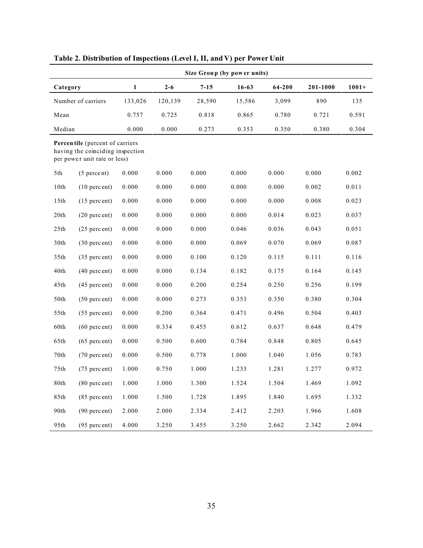| Size Group (by power units) |                                                                                                     |              |         |          |           |        |          |         |
|-----------------------------|-----------------------------------------------------------------------------------------------------|--------------|---------|----------|-----------|--------|----------|---------|
| Category                    |                                                                                                     | $\mathbf{1}$ | $2 - 6$ | $7 - 15$ | $16 - 63$ | 64-200 | 201-1000 | $1001+$ |
|                             | Number of carriers                                                                                  | 133,026      | 120,139 | 28,590   | 15,586    | 3,099  | 890      | 135     |
| Mean                        |                                                                                                     | 0.757        | 0.725   | 0.818    | 0.865     | 0.780  | 0.721    | 0.591   |
| Median                      |                                                                                                     | 0.000        | 0.000   | 0.273    | 0.353     | 0.350  | 0.380    | 0.304   |
|                             | Percentile (percent of carriers<br>having the coinciding inspection<br>per power unit rate or less) |              |         |          |           |        |          |         |
| 5th                         | $(5$ percent)                                                                                       | 0.000        | 0.000   | 0.000    | 0.000     | 0.000  | 0.000    | 0.002   |
| 10th                        | $(10$ percent)                                                                                      | 0.000        | 0.000   | 0.000    | 0.000     | 0.000  | 0.002    | 0.011   |
| 15th                        | $(15$ percent)                                                                                      | 0.000        | 0.000   | 0.000    | 0.000     | 0.000  | 0.008    | 0.023   |
| 20th                        | $(20$ percent)                                                                                      | 0.000        | 0.000   | 0.000    | 0.000     | 0.014  | 0.023    | 0.037   |
| 25th                        | $(25$ percent)                                                                                      | 0.000        | 0.000   | 0.000    | 0.046     | 0.036  | 0.043    | 0.051   |
| 30th                        | $(30$ percent)                                                                                      | 0.000        | 0.000   | 0.000    | 0.069     | 0.070  | 0.069    | 0.087   |
| 35th                        | $(35$ percent)                                                                                      | 0.000        | 0.000   | 0.100    | 0.120     | 0.115  | 0.111    | 0.116   |
| 40th                        | $(40$ percent)                                                                                      | 0.000        | 0.000   | 0.134    | 0.182     | 0.175  | 0.164    | 0.145   |
| 45th                        | $(45$ percent)                                                                                      | 0.000        | 0.000   | 0.200    | 0.254     | 0.250  | 0.256    | 0.199   |
| 50th                        | $(50$ percent)                                                                                      | 0.000        | 0.000   | 0.273    | 0.353     | 0.350  | 0.380    | 0.304   |
| 55th                        | $(55$ percent)                                                                                      | 0.000        | 0.200   | 0.364    | 0.471     | 0.496  | 0.504    | 0.403   |
| 60th                        | $(60$ percent)                                                                                      | 0.000        | 0.334   | 0.455    | 0.612     | 0.637  | 0.648    | 0.479   |
| 65th                        | $(65$ percent)                                                                                      | 0.000        | 0.500   | 0.600    | 0.784     | 0.848  | 0.805    | 0.645   |
| $70th$                      | $(70$ percent)                                                                                      | 0.000        | 0.500   | 0.778    | 1.000     | 1.040  | 1.056    | 0.783   |
| 75th                        | $(75$ percent)                                                                                      | 1.000        | 0.750   | 1.000    | 1.233     | 1.281  | 1.277    | 0.972   |
| 80th                        | $(80$ percent)                                                                                      | 1.000        | 1.000   | 1.300    | 1.524     | 1.504  | 1.469    | 1.092   |
| 85th                        | $(85$ percent)                                                                                      | 1.000        | 1.500   | 1.728    | 1.895     | 1.840  | 1.695    | 1.332   |
| 90th                        | $(90$ percent)                                                                                      | 2.000        | 2.000   | 2.334    | 2.412     | 2.203  | 1.966    | 1.608   |
| 95th                        | $(95$ percent)                                                                                      | 4.000        | 3.250   | 3.455    | 3.250     | 2.662  | 2.342    | 2.094   |

**Table 2. Distribution of Inspections (Level I, II, and V) per Power Unit**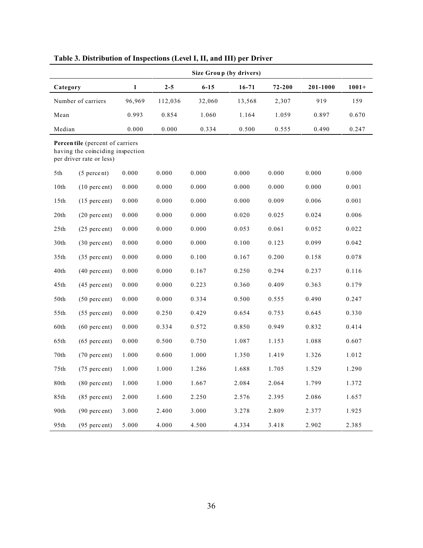|                 |                                                                                                 |              |         |          | Size Group (by drivers) |            |          |         |
|-----------------|-------------------------------------------------------------------------------------------------|--------------|---------|----------|-------------------------|------------|----------|---------|
| Category        |                                                                                                 | $\mathbf{1}$ | $2 - 5$ | $6 - 15$ | $16 - 71$               | $72 - 200$ | 201-1000 | $1001+$ |
|                 | Number of carriers                                                                              | 96,969       | 112,036 | 32,060   | 13,568                  | 2,307      | 919      | 159     |
| Mean            |                                                                                                 | 0.993        | 0.854   | 1.060    | 1.164                   | 1.059      | 0.897    | 0.670   |
| Median          |                                                                                                 | 0.000        | 0.000   | 0.334    | 0.500                   | 0.555      | 0.490    | 0.247   |
|                 | Percentile (percent of carriers<br>having the coinciding inspection<br>per driver rate or less) |              |         |          |                         |            |          |         |
| 5th             | $(5$ percent)                                                                                   | 0.000        | 0.000   | 0.000    | 0.000                   | 0.000      | 0.000    | 0.000   |
| 10th            | $(10$ percent)                                                                                  | 0.000        | 0.000   | 0.000    | 0.000                   | 0.000      | 0.000    | 0.001   |
| 15th            | $(15$ percent)                                                                                  | 0.000        | 0.000   | 0.000    | 0.000                   | 0.009      | 0.006    | 0.001   |
| 20th            | $(20$ percent)                                                                                  | 0.000        | 0.000   | 0.000    | 0.020                   | 0.025      | 0.024    | 0.006   |
| 25th            | $(25$ percent)                                                                                  | 0.000        | 0.000   | 0.000    | 0.053                   | 0.061      | 0.052    | 0.022   |
| 30th            | $(30$ percent)                                                                                  | 0.000        | 0.000   | 0.000    | 0.100                   | 0.123      | 0.099    | 0.042   |
| 35th            | $(35$ percent)                                                                                  | 0.000        | 0.000   | 0.100    | 0.167                   | 0.200      | 0.158    | 0.078   |
| $40\mathrm{th}$ | $(40$ percent)                                                                                  | 0.000        | 0.000   | 0.167    | 0.250                   | 0.294      | 0.237    | 0.116   |
| 45th            | $(45$ percent)                                                                                  | 0.000        | 0.000   | 0.223    | 0.360                   | 0.409      | 0.363    | 0.179   |
| 50th            | $(50$ percent)                                                                                  | 0.000        | 0.000   | 0.334    | 0.500                   | 0.555      | 0.490    | 0.247   |
| 55th            | $(55$ percent)                                                                                  | 0.000        | 0.250   | 0.429    | 0.654                   | 0.753      | 0.645    | 0.330   |
| 60th            | $(60$ percent)                                                                                  | 0.000        | 0.334   | 0.572    | 0.850                   | 0.949      | 0.832    | 0.414   |
| 65th            | $(65$ percent)                                                                                  | 0.000        | 0.500   | 0.750    | 1.087                   | 1.153      | 1.088    | 0.607   |
| $70th$          | $(70$ percent)                                                                                  | 1.000        | 0.600   | 1.000    | 1.350                   | 1.419      | 1.326    | 1.012   |
| 75th            | $(75$ percent)                                                                                  | 1.000        | 1.000   | 1.286    | 1.688                   | 1.705      | 1.529    | 1.290   |
| 80th            | $(80$ percent)                                                                                  | 1.000        | 1.000   | 1.667    | 2.084                   | 2.064      | 1.799    | 1.372   |
| 85th            | $(85$ percent)                                                                                  | 2.000        | 1.600   | 2.250    | 2.576                   | 2.395      | 2.086    | 1.657   |
| 90th            | $(90$ percent)                                                                                  | 3.000        | 2.400   | 3.000    | 3.278                   | 2.809      | 2.377    | 1.925   |
| 95th            | $(95$ percent)                                                                                  | 5.000        | 4.000   | 4.500    | 4.334                   | 3.418      | 2.902    | 2.385   |

## **Table 3. Distribution of Inspections (Level I, II, and III) per Driver**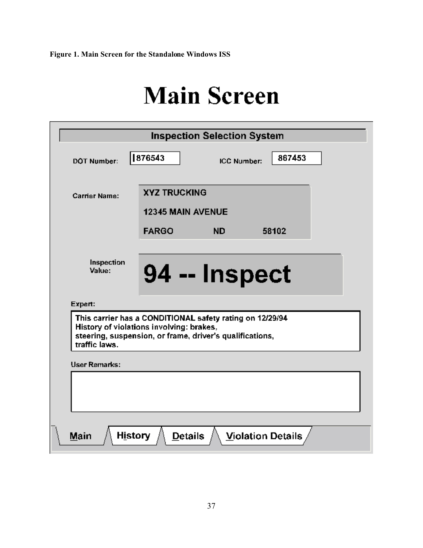## **Main Screen**

|                                                                                                                                                                                              |                                                 | <b>Inspection Selection System</b> |                   |  |  |
|----------------------------------------------------------------------------------------------------------------------------------------------------------------------------------------------|-------------------------------------------------|------------------------------------|-------------------|--|--|
| <b>DOT Number:</b>                                                                                                                                                                           | 876543                                          | ICC Number:                        | 867453            |  |  |
| <b>Carrier Name:</b>                                                                                                                                                                         | <b>XYZ TRUCKING</b><br><b>12345 MAIN AVENUE</b> |                                    |                   |  |  |
|                                                                                                                                                                                              | <b>FARGO</b>                                    | ND.                                | 58102             |  |  |
| Inspection<br>Value:                                                                                                                                                                         | 94 -- Inspect                                   |                                    |                   |  |  |
| Expert:<br>This carrier has a CONDITIONAL safety rating on 12/29/94<br>History of violations involving: brakes,<br>steering, suspension, or frame, driver's qualifications,<br>traffic laws. |                                                 |                                    |                   |  |  |
| <b>User Remarks:</b>                                                                                                                                                                         |                                                 |                                    |                   |  |  |
|                                                                                                                                                                                              |                                                 |                                    |                   |  |  |
| <b>History</b><br>Main                                                                                                                                                                       | <b>Details</b>                                  |                                    | Violation Details |  |  |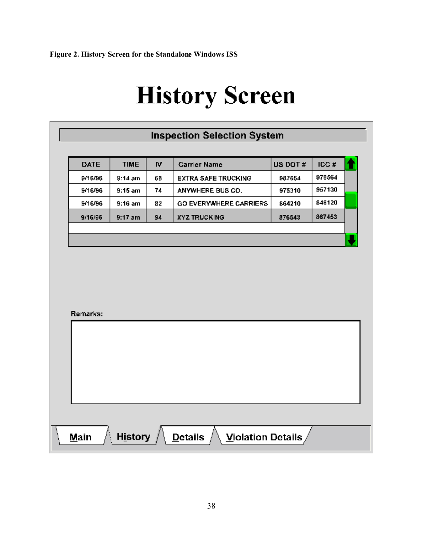**Figure 2. History Screen for the Standalone Windows ISS**

# **History Screen**

| 976564<br>9/16/96<br>$9:14$ am<br>68<br><b>EXTRA SAFE TRUCKING</b><br>987654<br>957130<br>975310<br>9/16/96<br>$9:15$ am<br>74<br>ANYWHERE BUS CO.<br>846120<br>9/16/96<br>$9:16$ am<br>GO EVERYWHERE CARRIERS<br>864210<br>82<br>867453<br>$9:17$ am<br>9/16/96<br>94<br><b>XYZ TRUCKING</b><br>876543 | <b>DATE</b> | <b>TIME</b> | IV. | <b>Carrier Name</b> | US DOT # | ICC# |
|---------------------------------------------------------------------------------------------------------------------------------------------------------------------------------------------------------------------------------------------------------------------------------------------------------|-------------|-------------|-----|---------------------|----------|------|
|                                                                                                                                                                                                                                                                                                         |             |             |     |                     |          |      |
|                                                                                                                                                                                                                                                                                                         |             |             |     |                     |          |      |
|                                                                                                                                                                                                                                                                                                         |             |             |     |                     |          |      |
|                                                                                                                                                                                                                                                                                                         |             |             |     |                     |          |      |
|                                                                                                                                                                                                                                                                                                         |             |             |     |                     |          |      |
|                                                                                                                                                                                                                                                                                                         |             |             |     |                     |          |      |
|                                                                                                                                                                                                                                                                                                         | Remarks:    |             |     |                     |          |      |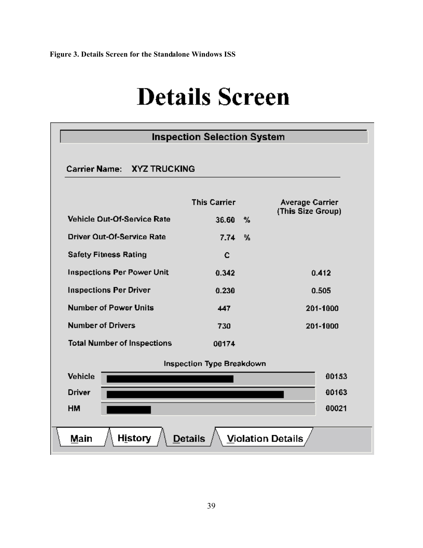## **Details Screen**

|                                    | <b>Inspection Selection System</b> |   |                          |
|------------------------------------|------------------------------------|---|--------------------------|
| Carrier Name: XYZ TRUCKING         |                                    |   |                          |
|                                    | <b>This Carrier</b>                |   | <b>Average Carrier</b>   |
| Vehicle Out-Of-Service Rate        | 36.60                              | % | (This Size Group)        |
| <b>Driver Out-Of-Service Rate</b>  | 7.74                               | % |                          |
| <b>Safety Fitness Rating</b>       | c                                  |   |                          |
| <b>Inspections Per Power Unit</b>  | 0.342                              |   | 0.412                    |
| <b>Inspections Per Driver</b>      | 0.230                              |   | 0.505                    |
| <b>Number of Power Units</b>       | 447                                |   | 201-1000                 |
| <b>Number of Drivers</b>           | 730                                |   | 201-1000                 |
| <b>Total Number of Inspections</b> | 00174                              |   |                          |
|                                    | Inspection Type Breakdown          |   |                          |
| Vehicle                            |                                    |   | 00153                    |
| <b>Driver</b>                      |                                    |   | 00163                    |
| <b>HM</b>                          |                                    |   | 00021                    |
| <b>History</b><br>Main             | <b>Details</b>                     |   | <b>Violation Details</b> |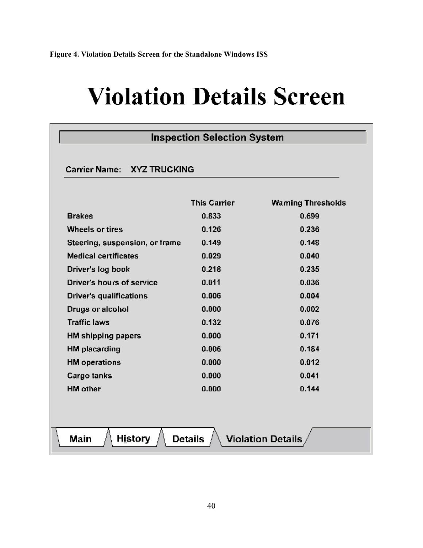# **Violation Details Screen**

| Carrier Name: XYZ TRUCKING     |                     |                          |  |  |
|--------------------------------|---------------------|--------------------------|--|--|
|                                | <b>This Carrier</b> | <b>Waming Thresholds</b> |  |  |
| <b>Brakes</b>                  | 0.833               | 0.699                    |  |  |
| <b>Wheels or tires</b>         | 0.126               | 0.236                    |  |  |
| Steering, suspension, or frame | 0.149               | 0.148                    |  |  |
| <b>Medical certificates</b>    | 0.029               | 0.040                    |  |  |
| Driver's log book              | 0.218               | 0.235                    |  |  |
| Driver's hours of service      | 0.011               | 0.036                    |  |  |
| Driver's qualifications        | 0.006               | 0.004                    |  |  |
| Drugs or alcohol               | 0.000               | 0.002                    |  |  |
| <b>Traffic laws</b>            | 0.132               | 0.076                    |  |  |
| <b>HM shipping papers</b>      | 0.000               | 0.171                    |  |  |
| <b>HM</b> placarding           | 0.006               | 0.184                    |  |  |
| <b>HM</b> operations           | 0.000               | 0.012                    |  |  |
| Cargo tanks                    | 0.000               | 0.041                    |  |  |
| <b>HM</b> other                | 0.000               | 0.144                    |  |  |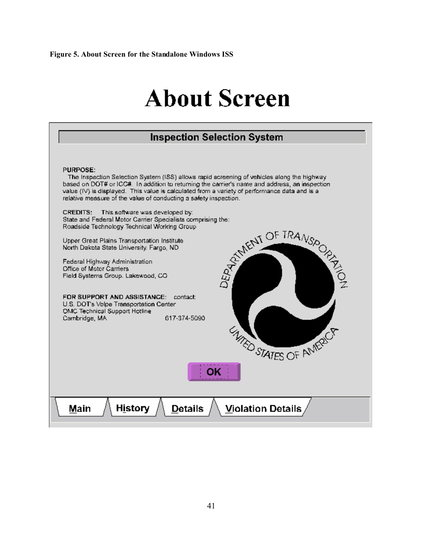## **About Screen**